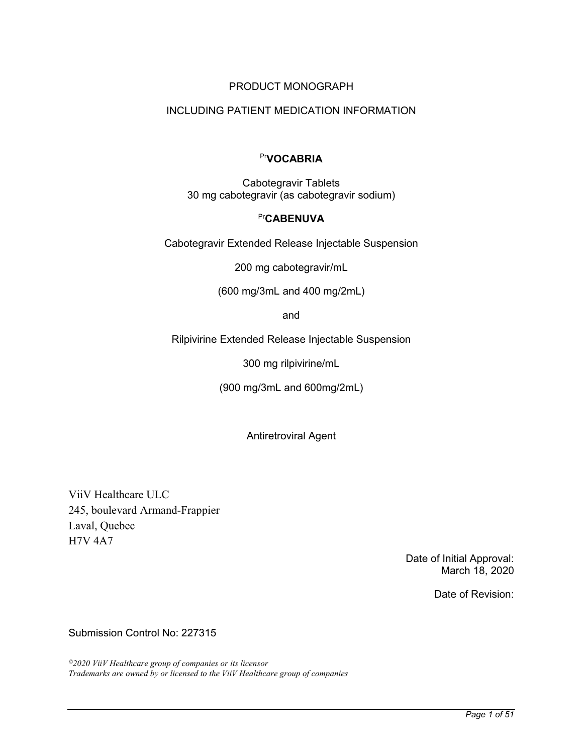## PRODUCT MONOGRAPH

# INCLUDING PATIENT MEDICATION INFORMATION

# Pr**VOCABRIA**

Cabotegravir Tablets 30 mg cabotegravir (as cabotegravir sodium)

#### Pr**CABENUVA**

Cabotegravir Extended Release Injectable Suspension

200 mg cabotegravir/mL

(600 mg/3mL and 400 mg/2mL)

and

Rilpivirine Extended Release Injectable Suspension

300 mg rilpivirine/mL

(900 mg/3mL and 600mg/2mL)

Antiretroviral Agent

ViiV Healthcare ULC 245, boulevard Armand-Frappier Laval, Quebec H7V 4A7

> Date of Initial Approval: March 18, 2020

> > Date of Revision:

Submission Control No: 227315

*©2020 ViiV Healthcare group of companies or its licensor Trademarks are owned by or licensed to the ViiV Healthcare group of companies*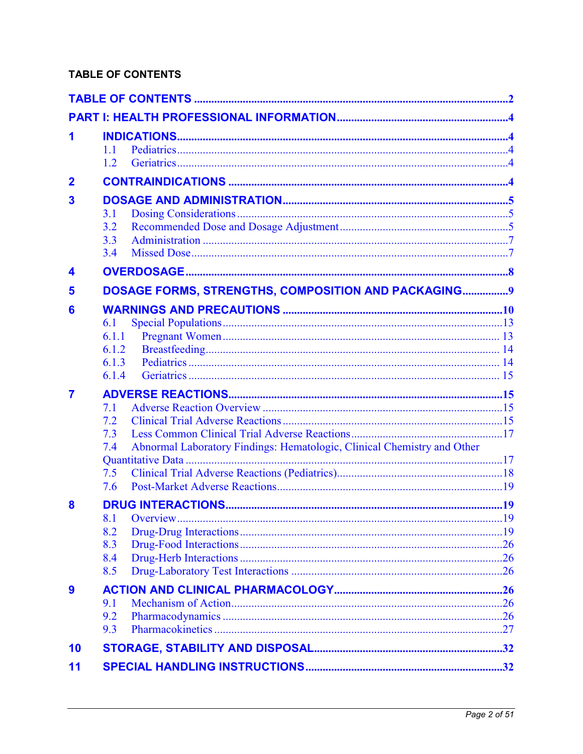# <span id="page-1-0"></span>**TABLE OF CONTENTS**

| 1                       | 11<br>1.2                                                                                                         |  |
|-------------------------|-------------------------------------------------------------------------------------------------------------------|--|
| $\overline{2}$          |                                                                                                                   |  |
| $\overline{\mathbf{3}}$ | 3.1<br>3.2<br>3.3<br>3.4                                                                                          |  |
| 4                       |                                                                                                                   |  |
| 5                       | DOSAGE FORMS, STRENGTHS, COMPOSITION AND PACKAGING 9                                                              |  |
| 6                       | 6.1<br>6.1.1<br>6.1.2<br>6.1.3<br>6.1.4                                                                           |  |
| $\overline{\mathbf{7}}$ | 7.1<br>7.2<br>7.3<br>Abnormal Laboratory Findings: Hematologic, Clinical Chemistry and Other<br>7.4<br>7.5<br>7.6 |  |
| 8                       | 8.2<br>8.3<br>8.4<br>8.5                                                                                          |  |
| 9                       | 9.1<br>9.2<br>9.3                                                                                                 |  |
| 10                      |                                                                                                                   |  |
| 11                      |                                                                                                                   |  |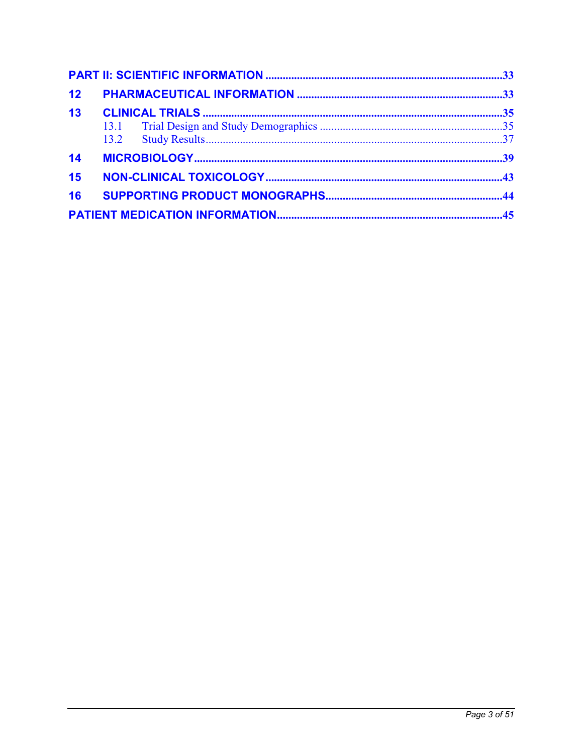| 12 |  |  |  |  |  |  |
|----|--|--|--|--|--|--|
| 13 |  |  |  |  |  |  |
|    |  |  |  |  |  |  |
|    |  |  |  |  |  |  |
| 14 |  |  |  |  |  |  |
| 15 |  |  |  |  |  |  |
| 16 |  |  |  |  |  |  |
|    |  |  |  |  |  |  |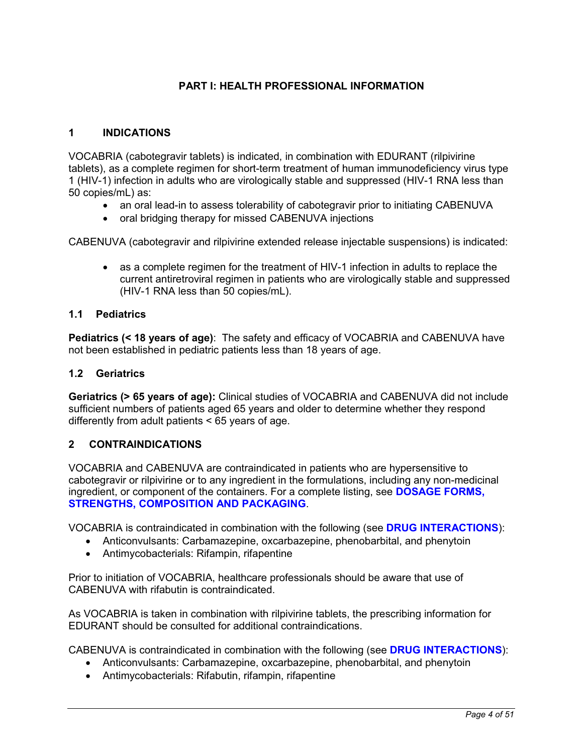# **PART I: HEALTH PROFESSIONAL INFORMATION**

### <span id="page-3-0"></span>**1 INDICATIONS**

VOCABRIA (cabotegravir tablets) is indicated, in combination with EDURANT (rilpivirine tablets), as a complete regimen for short-term treatment of human immunodeficiency virus type 1 (HIV-1) infection in adults who are virologically stable and suppressed (HIV-1 RNA less than 50 copies/mL) as:

- an oral lead-in to assess tolerability of cabotegravir prior to initiating CABENUVA
- oral bridging therapy for missed CABENUVA injections

CABENUVA (cabotegravir and rilpivirine extended release injectable suspensions) is indicated:

 as a complete regimen for the treatment of HIV-1 infection in adults to replace the current antiretroviral regimen in patients who are virologically stable and suppressed (HIV-1 RNA less than 50 copies/mL).

## **1.1 Pediatrics**

**Pediatrics (< 18 years of age)**: The safety and efficacy of VOCABRIA and CABENUVA have not been established in pediatric patients less than 18 years of age.

### **1.2 Geriatrics**

**Geriatrics (> 65 years of age):** Clinical studies of VOCABRIA and CABENUVA did not include sufficient numbers of patients aged 65 years and older to determine whether they respond differently from adult patients < 65 years of age.

## **2 CONTRAINDICATIONS**

VOCABRIA and CABENUVA are contraindicated in patients who are hypersensitive to cabotegravir or rilpivirine or to any ingredient in the formulations, including any non-medicinal ingredient, or component of the containers. For a complete listing, see **[DOSAGE FORMS,](#page-8-0)  [STRENGTHS, COMPOSITION AND PACKAGING](#page-8-0)**.

VOCABRIA is contraindicated in combination with the following (see **[DRUG INTERACTIONS](#page-18-0)**):

- Anticonvulsants: Carbamazepine, oxcarbazepine, phenobarbital, and phenytoin
- Antimycobacterials: Rifampin, rifapentine

Prior to initiation of VOCABRIA, healthcare professionals should be aware that use of CABENUVA with rifabutin is contraindicated.

As VOCABRIA is taken in combination with rilpivirine tablets, the prescribing information for EDURANT should be consulted for additional contraindications.

CABENUVA is contraindicated in combination with the following (see **[DRUG INTERACTIONS](#page-18-0)**):

- Anticonvulsants: Carbamazepine, oxcarbazepine, phenobarbital, and phenytoin
- Antimycobacterials: Rifabutin, rifampin, rifapentine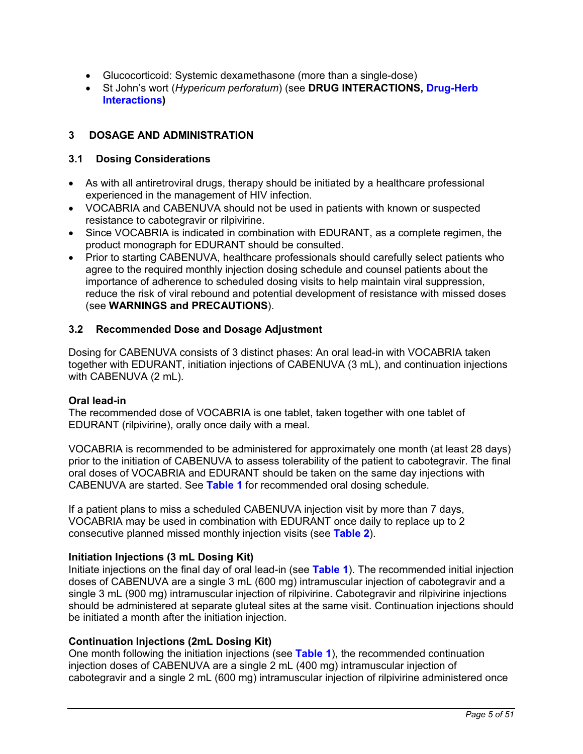- <span id="page-4-0"></span>Glucocorticoid: Systemic dexamethasone (more than a single-dose)
- St John's wort (*Hypericum perforatum*) (see **DRUG INTERACTIONS, [Drug-Herb](#page-25-0)  [Interactions\)](#page-25-0)**

# **3 DOSAGE AND ADMINISTRATION**

## **3.1 Dosing Considerations**

- As with all antiretroviral drugs, therapy should be initiated by a healthcare professional experienced in the management of HIV infection.
- VOCABRIA and CABENUVA should not be used in patients with known or suspected resistance to cabotegravir or rilpivirine.
- Since VOCABRIA is indicated in combination with EDURANT, as a complete regimen, the product monograph for EDURANT should be consulted.
- Prior to starting CABENUVA, healthcare professionals should carefully select patients who agree to the required monthly injection dosing schedule and counsel patients about the importance of adherence to scheduled dosing visits to help maintain viral suppression, reduce the risk of viral rebound and potential development of resistance with missed doses (see **WARNINGS and PRECAUTIONS**).

### **3.2 Recommended Dose and Dosage Adjustment**

Dosing for CABENUVA consists of 3 distinct phases: An oral lead-in with VOCABRIA taken together with EDURANT, initiation injections of CABENUVA (3 mL), and continuation injections with CABENUVA (2 mL).

#### **Oral lead-in**

The recommended dose of VOCABRIA is one tablet, taken together with one tablet of EDURANT (rilpivirine), orally once daily with a meal.

VOCABRIA is recommended to be administered for approximately one month (at least 28 days) prior to the initiation of CABENUVA to assess tolerability of the patient to cabotegravir. The final oral doses of VOCABRIA and EDURANT should be taken on the same day injections with CABENUVA are started. See **[Table 1](#page-5-0)** for recommended oral dosing schedule.

If a patient plans to miss a scheduled CABENUVA injection visit by more than 7 days, VOCABRIA may be used in combination with EDURANT once daily to replace up to 2 consecutive planned missed monthly injection visits (see **[Table 2](#page-7-0)**).

## **Initiation Injections (3 mL Dosing Kit)**

Initiate injections on the final day of oral lead-in (see **[Table 1](#page-5-0)**). The recommended initial injection doses of CABENUVA are a single 3 mL (600 mg) intramuscular injection of cabotegravir and a single 3 mL (900 mg) intramuscular injection of rilpivirine. Cabotegravir and rilpivirine injections should be administered at separate gluteal sites at the same visit. Continuation injections should be initiated a month after the initiation injection.

## **Continuation Injections (2mL Dosing Kit)**

One month following the initiation injections (see **[Table 1](#page-5-0)**), the recommended continuation injection doses of CABENUVA are a single 2 mL (400 mg) intramuscular injection of cabotegravir and a single 2 mL (600 mg) intramuscular injection of rilpivirine administered once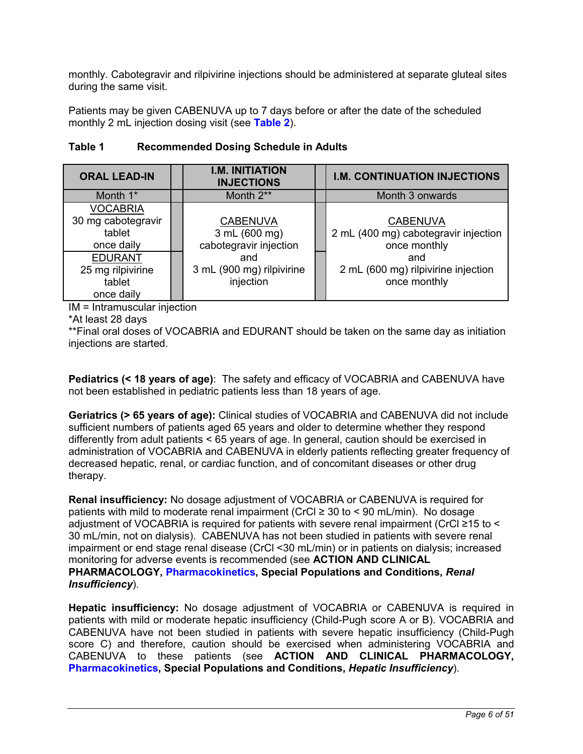<span id="page-5-0"></span>monthly. Cabotegravir and rilpivirine injections should be administered at separate gluteal sites during the same visit.

Patients may be given CABENUVA up to 7 days before or after the date of the scheduled monthly 2 mL injection dosing visit (see **[Table 2](#page-7-0)**).

| <b>ORAL LEAD-IN</b> |  | <b>I.M. INITIATION</b><br><b>INJECTIONS</b> | <b>I.M. CONTINUATION INJECTIONS</b>  |  |  |
|---------------------|--|---------------------------------------------|--------------------------------------|--|--|
| Month 1*            |  | Month 2**                                   | Month 3 onwards                      |  |  |
| <b>VOCABRIA</b>     |  |                                             |                                      |  |  |
| 30 mg cabotegravir  |  | <b>CABENUVA</b>                             | <b>CABENUVA</b>                      |  |  |
| tablet              |  | 3 mL (600 mg)                               | 2 mL (400 mg) cabotegravir injection |  |  |
| once daily          |  | cabotegravir injection                      | once monthly                         |  |  |
| <b>EDURANT</b>      |  | and                                         | and                                  |  |  |
| 25 mg rilpivirine   |  | 3 mL (900 mg) rilpivirine                   | 2 mL (600 mg) rilpivirine injection  |  |  |
| tablet              |  | injection                                   | once monthly                         |  |  |
| once daily          |  |                                             |                                      |  |  |

# **Table 1 Recommended Dosing Schedule in Adults**

IM = Intramuscular injection

\*At least 28 days

\*\*Final oral doses of VOCABRIA and EDURANT should be taken on the same day as initiation injections are started.

**Pediatrics (< 18 years of age)**: The safety and efficacy of VOCABRIA and CABENUVA have not been established in pediatric patients less than 18 years of age.

**Geriatrics (> 65 years of age):** Clinical studies of VOCABRIA and CABENUVA did not include sufficient numbers of patients aged 65 years and older to determine whether they respond differently from adult patients < 65 years of age. In general, caution should be exercised in administration of VOCABRIA and CABENUVA in elderly patients reflecting greater frequency of decreased hepatic, renal, or cardiac function, and of concomitant diseases or other drug therapy.

**Renal insufficiency:** No dosage adjustment of VOCABRIA or CABENUVA is required for patients with mild to moderate renal impairment (CrCl  $\geq$  30 to < 90 mL/min). No dosage adjustment of VOCABRIA is required for patients with severe renal impairment (CrCl ≥15 to < 30 mL/min, not on dialysis). CABENUVA has not been studied in patients with severe renal impairment or end stage renal disease (CrCl <30 mL/min) or in patients on dialysis; increased monitoring for adverse events is recommended (see **ACTION AND CLINICAL PHARMACOLOGY, [Pharmacokinetics](#page-26-0), Special Populations and Conditions,** *Renal Insufficiency*).

**Hepatic insufficiency:** No dosage adjustment of VOCABRIA or CABENUVA is required in patients with mild or moderate hepatic insufficiency (Child-Pugh score A or B). VOCABRIA and CABENUVA have not been studied in patients with severe hepatic insufficiency (Child-Pugh score C) and therefore, caution should be exercised when administering VOCABRIA and CABENUVA to these patients (see **ACTION AND CLINICAL PHARMACOLOGY, [Pharmacokinetics](#page-26-0), Special Populations and Conditions,** *Hepatic Insufficiency*).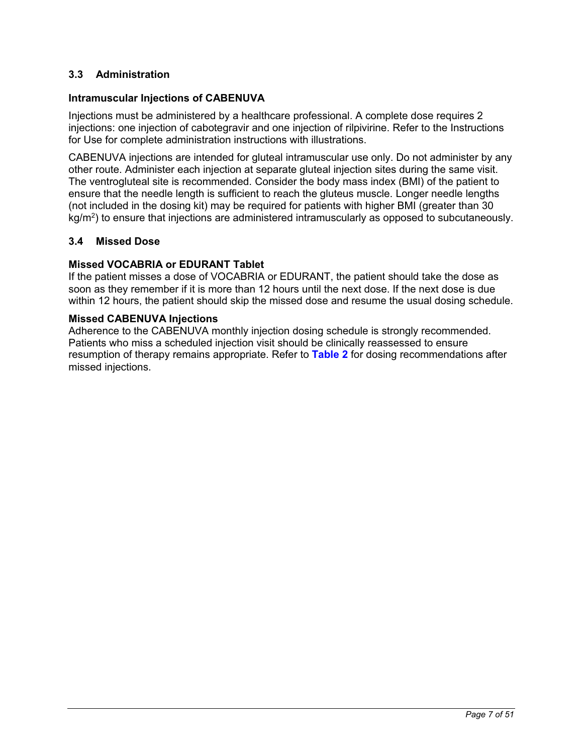## <span id="page-6-0"></span>**3.3 Administration**

### **Intramuscular Injections of CABENUVA**

Injections must be administered by a healthcare professional. A complete dose requires 2 injections: one injection of cabotegravir and one injection of rilpivirine. Refer to the Instructions for Use for complete administration instructions with illustrations.

CABENUVA injections are intended for gluteal intramuscular use only. Do not administer by any other route. Administer each injection at separate gluteal injection sites during the same visit. The ventrogluteal site is recommended. Consider the body mass index (BMI) of the patient to ensure that the needle length is sufficient to reach the gluteus muscle. Longer needle lengths (not included in the dosing kit) may be required for patients with higher BMI (greater than 30 kg/m<sup>2</sup>) to ensure that injections are administered intramuscularly as opposed to subcutaneously.

## **3.4 Missed Dose**

### **Missed VOCABRIA or EDURANT Tablet**

If the patient misses a dose of VOCABRIA or EDURANT, the patient should take the dose as soon as they remember if it is more than 12 hours until the next dose. If the next dose is due within 12 hours, the patient should skip the missed dose and resume the usual dosing schedule.

#### **Missed CABENUVA Injections**

Adherence to the CABENUVA monthly injection dosing schedule is strongly recommended. Patients who miss a scheduled injection visit should be clinically reassessed to ensure resumption of therapy remains appropriate. Refer to **[Table 2](#page-7-0)** for dosing recommendations after missed injections.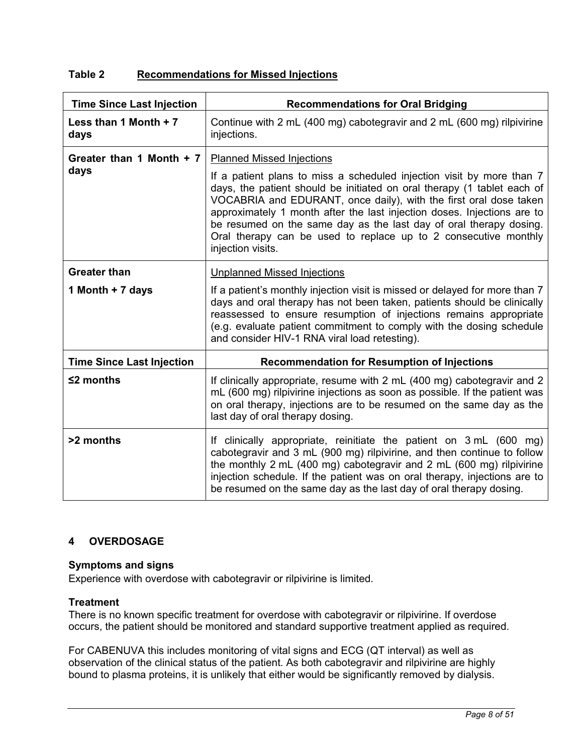# <span id="page-7-0"></span>**Table 2 Recommendations for Missed Injections**

| <b>Time Since Last Injection</b>        | <b>Recommendations for Oral Bridging</b>                                                                                                                                                                                                                                                                                                                                                                                                                                                    |  |  |  |  |
|-----------------------------------------|---------------------------------------------------------------------------------------------------------------------------------------------------------------------------------------------------------------------------------------------------------------------------------------------------------------------------------------------------------------------------------------------------------------------------------------------------------------------------------------------|--|--|--|--|
| Less than 1 Month $+7$<br>days          | Continue with 2 mL (400 mg) cabotegravir and 2 mL (600 mg) rilpivirine<br>injections.                                                                                                                                                                                                                                                                                                                                                                                                       |  |  |  |  |
| Greater than 1 Month + 7<br>days        | Planned Missed Injections<br>If a patient plans to miss a scheduled injection visit by more than 7<br>days, the patient should be initiated on oral therapy (1 tablet each of<br>VOCABRIA and EDURANT, once daily), with the first oral dose taken<br>approximately 1 month after the last injection doses. Injections are to<br>be resumed on the same day as the last day of oral therapy dosing.<br>Oral therapy can be used to replace up to 2 consecutive monthly<br>injection visits. |  |  |  |  |
| <b>Greater than</b><br>1 Month + 7 days | <b>Unplanned Missed Injections</b><br>If a patient's monthly injection visit is missed or delayed for more than 7<br>days and oral therapy has not been taken, patients should be clinically<br>reassessed to ensure resumption of injections remains appropriate<br>(e.g. evaluate patient commitment to comply with the dosing schedule<br>and consider HIV-1 RNA viral load retesting).                                                                                                  |  |  |  |  |
| <b>Time Since Last Injection</b>        | <b>Recommendation for Resumption of Injections</b>                                                                                                                                                                                                                                                                                                                                                                                                                                          |  |  |  |  |
| $≤2$ months                             | If clinically appropriate, resume with 2 mL (400 mg) cabotegravir and 2<br>mL (600 mg) rilpivirine injections as soon as possible. If the patient was<br>on oral therapy, injections are to be resumed on the same day as the<br>last day of oral therapy dosing.                                                                                                                                                                                                                           |  |  |  |  |
| >2 months                               | If clinically appropriate, reinitiate the patient on 3 mL (600 mg)<br>cabotegravir and 3 mL (900 mg) rilpivirine, and then continue to follow<br>the monthly 2 mL (400 mg) cabotegravir and 2 mL (600 mg) rilpivirine<br>injection schedule. If the patient was on oral therapy, injections are to<br>be resumed on the same day as the last day of oral therapy dosing.                                                                                                                    |  |  |  |  |

# **4 OVERDOSAGE**

## **Symptoms and signs**

Experience with overdose with cabotegravir or rilpivirine is limited.

## **Treatment**

There is no known specific treatment for overdose with cabotegravir or rilpivirine. If overdose occurs, the patient should be monitored and standard supportive treatment applied as required.

For CABENUVA this includes monitoring of vital signs and ECG (QT interval) as well as observation of the clinical status of the patient. As both cabotegravir and rilpivirine are highly bound to plasma proteins, it is unlikely that either would be significantly removed by dialysis.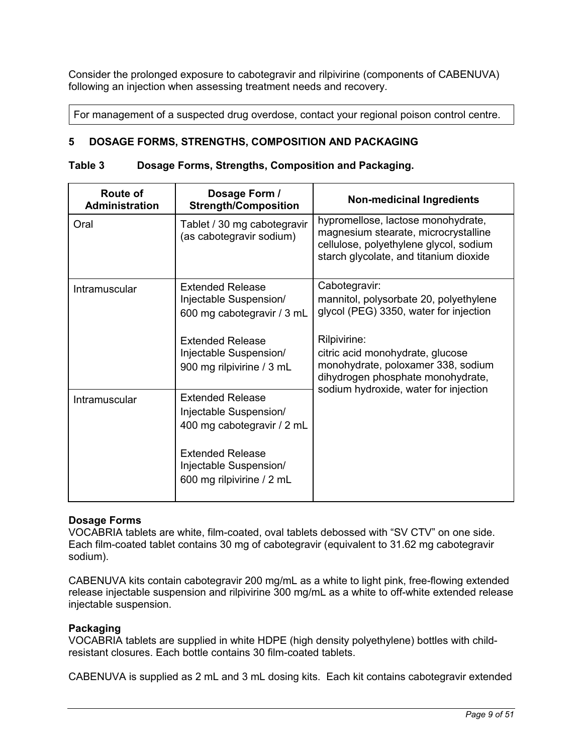<span id="page-8-0"></span>Consider the prolonged exposure to cabotegravir and rilpivirine (components of CABENUVA) following an injection when assessing treatment needs and recovery.

For management of a suspected drug overdose, contact your regional poison control centre.

## **5 DOSAGE FORMS, STRENGTHS, COMPOSITION AND PACKAGING**

#### **Table 3 Dosage Forms, Strengths, Composition and Packaging.**

| <b>Route of</b><br><b>Administration</b> | Dosage Form /<br><b>Strength/Composition</b>                                                                                                                      | <b>Non-medicinal Ingredients</b>                                                                                                                                                                                                 |
|------------------------------------------|-------------------------------------------------------------------------------------------------------------------------------------------------------------------|----------------------------------------------------------------------------------------------------------------------------------------------------------------------------------------------------------------------------------|
| Oral                                     | Tablet / 30 mg cabotegravir<br>(as cabotegravir sodium)                                                                                                           | hypromellose, lactose monohydrate,<br>magnesium stearate, microcrystalline<br>cellulose, polyethylene glycol, sodium<br>starch glycolate, and titanium dioxide                                                                   |
| Intramuscular                            | Extended Release<br>Injectable Suspension/<br>600 mg cabotegravir / 3 mL<br><b>Extended Release</b><br>Injectable Suspension/<br>900 mg rilpivirine / 3 mL        | Cabotegravir:<br>mannitol, polysorbate 20, polyethylene<br>glycol (PEG) 3350, water for injection<br>Rilpivirine:<br>citric acid monohydrate, glucose<br>monohydrate, poloxamer 338, sodium<br>dihydrogen phosphate monohydrate, |
| Intramuscular                            | <b>Extended Release</b><br>Injectable Suspension/<br>400 mg cabotegravir / 2 mL<br><b>Extended Release</b><br>Injectable Suspension/<br>600 mg rilpivirine / 2 mL | sodium hydroxide, water for injection                                                                                                                                                                                            |

#### **Dosage Forms**

VOCABRIA tablets are white, film-coated, oval tablets debossed with "SV CTV" on one side. Each film-coated tablet contains 30 mg of cabotegravir (equivalent to 31.62 mg cabotegravir sodium).

CABENUVA kits contain cabotegravir 200 mg/mL as a white to light pink, free-flowing extended release injectable suspension and rilpivirine 300 mg/mL as a white to off-white extended release injectable suspension.

### **Packaging**

VOCABRIA tablets are supplied in white HDPE (high density polyethylene) bottles with childresistant closures. Each bottle contains 30 film-coated tablets.

CABENUVA is supplied as 2 mL and 3 mL dosing kits. Each kit contains cabotegravir extended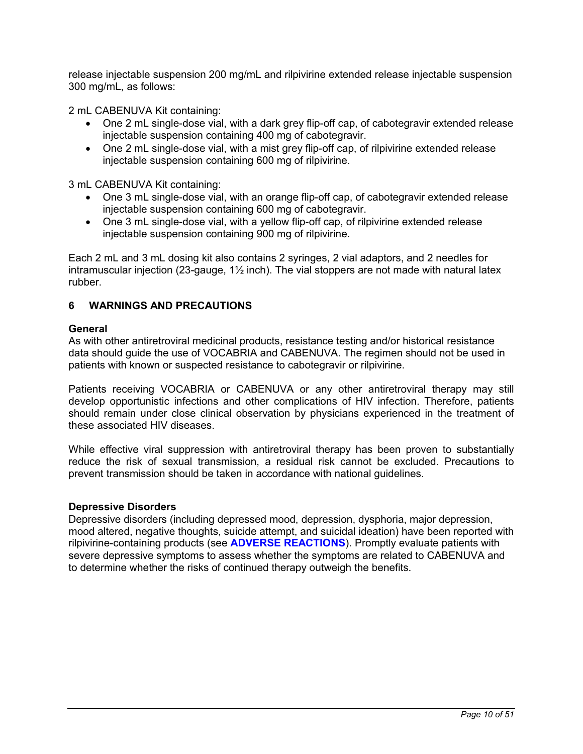<span id="page-9-0"></span>release injectable suspension 200 mg/mL and rilpivirine extended release injectable suspension 300 mg/mL, as follows:

2 mL CABENUVA Kit containing:

- One 2 mL single-dose vial, with a dark grey flip-off cap, of cabotegravir extended release injectable suspension containing 400 mg of cabotegravir.
- One 2 mL single-dose vial, with a mist grey flip-off cap, of rilpivirine extended release injectable suspension containing 600 mg of rilpivirine.

3 mL CABENUVA Kit containing:

- One 3 mL single-dose vial, with an orange flip-off cap, of cabotegravir extended release injectable suspension containing 600 mg of cabotegravir.
- One 3 mL single-dose vial, with a yellow flip-off cap, of rilpivirine extended release injectable suspension containing 900 mg of rilpivirine.

Each 2 mL and 3 mL dosing kit also contains 2 syringes, 2 vial adaptors, and 2 needles for intramuscular injection (23-gauge, 1½ inch). The vial stoppers are not made with natural latex rubber.

## **6 WARNINGS AND PRECAUTIONS**

#### **General**

As with other antiretroviral medicinal products, resistance testing and/or historical resistance data should guide the use of VOCABRIA and CABENUVA. The regimen should not be used in patients with known or suspected resistance to cabotegravir or rilpivirine.

Patients receiving VOCABRIA or CABENUVA or any other antiretroviral therapy may still develop opportunistic infections and other complications of HIV infection. Therefore, patients should remain under close clinical observation by physicians experienced in the treatment of these associated HIV diseases.

While effective viral suppression with antiretroviral therapy has been proven to substantially reduce the risk of sexual transmission, a residual risk cannot be excluded. Precautions to prevent transmission should be taken in accordance with national guidelines.

#### **Depressive Disorders**

Depressive disorders (including depressed mood, depression, dysphoria, major depression, mood altered, negative thoughts, suicide attempt, and suicidal ideation) have been reported with rilpivirine-containing products (see **[ADVERSE REACTIONS](#page-14-0)**). Promptly evaluate patients with severe depressive symptoms to assess whether the symptoms are related to CABENUVA and to determine whether the risks of continued therapy outweigh the benefits.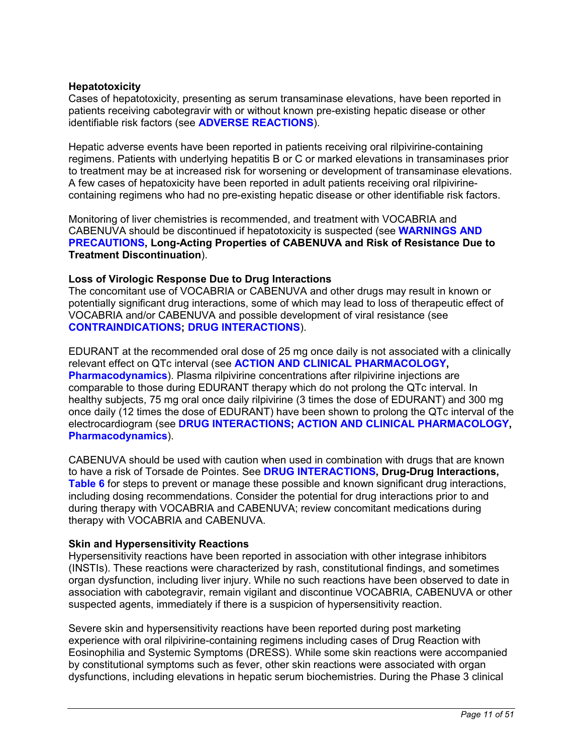### **Hepatotoxicity**

Cases of hepatotoxicity, presenting as serum transaminase elevations, have been reported in patients receiving cabotegravir with or without known pre-existing hepatic disease or other identifiable risk factors (see **[ADVERSE REACTIONS](#page-14-0)**).

Hepatic adverse events have been reported in patients receiving oral rilpivirine-containing regimens. Patients with underlying hepatitis B or C or marked elevations in transaminases prior to treatment may be at increased risk for worsening or development of transaminase elevations. A few cases of hepatoxicity have been reported in adult patients receiving oral rilpivirinecontaining regimens who had no pre-existing hepatic disease or other identifiable risk factors.

Monitoring of liver chemistries is recommended, and treatment with VOCABRIA and CABENUVA should be discontinued if hepatotoxicity is suspected (see **[WARNINGS AND](#page-9-0) [PRECAUTIONS](#page-9-0), Long-Acting Properties of CABENUVA and Risk of Resistance Due to Treatment Discontinuation**).

### **Loss of Virologic Response Due to Drug Interactions**

The concomitant use of VOCABRIA or CABENUVA and other drugs may result in known or potentially significant drug interactions, some of which may lead to loss of therapeutic effect of VOCABRIA and/or CABENUVA and possible development of viral resistance (see **[CONTRAINDICATIONS](#page-3-0); [DRUG INTERACTIONS](#page-18-0)**).

EDURANT at the recommended oral dose of 25 mg once daily is not associated with a clinically relevant effect on QTc interval (see **[ACTION AND CLINICAL PHARMACOLOGY,](#page-25-0) [Pharmacodynamics](#page-25-0)**). Plasma rilpivirine concentrations after rilpivirine injections are comparable to those during EDURANT therapy which do not prolong the QTc interval. In healthy subjects, 75 mg oral once daily rilpivirine (3 times the dose of EDURANT) and 300 mg once daily (12 times the dose of EDURANT) have been shown to prolong the QTc interval of the electrocardiogram (see **[DRUG INTERACTIONS;](#page-18-0) [ACTION AND CLINICAL PHARMACOLOGY,](#page-25-0) [Pharmacodynamics](#page-25-0)**).

CABENUVA should be used with caution when used in combination with drugs that are known to have a risk of Torsade de Pointes. See **[DRUG INTERACTIONS,](#page-18-0) Drug-Drug Interactions, [Table](#page-20-0) 6** for steps to prevent or manage these possible and known significant drug interactions, including dosing recommendations. Consider the potential for drug interactions prior to and during therapy with VOCABRIA and CABENUVA; review concomitant medications during therapy with VOCABRIA and CABENUVA.

#### **Skin and Hypersensitivity Reactions**

Hypersensitivity reactions have been reported in association with other integrase inhibitors (INSTIs). These reactions were characterized by rash, constitutional findings, and sometimes organ dysfunction, including liver injury. While no such reactions have been observed to date in association with cabotegravir, remain vigilant and discontinue VOCABRIA, CABENUVA or other suspected agents, immediately if there is a suspicion of hypersensitivity reaction.

Severe skin and hypersensitivity reactions have been reported during post marketing experience with oral rilpivirine-containing regimens including cases of Drug Reaction with Eosinophilia and Systemic Symptoms (DRESS). While some skin reactions were accompanied by constitutional symptoms such as fever, other skin reactions were associated with organ dysfunctions, including elevations in hepatic serum biochemistries. During the Phase 3 clinical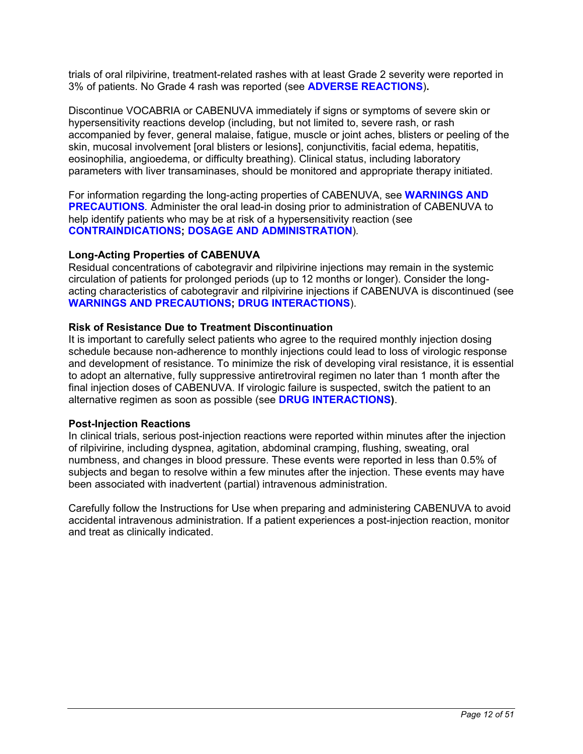trials of oral rilpivirine, treatment-related rashes with at least Grade 2 severity were reported in 3% of patients. No Grade 4 rash was reported (see **[ADVERSE REACTIONS](#page-14-0)**)**.**

Discontinue VOCABRIA or CABENUVA immediately if signs or symptoms of severe skin or hypersensitivity reactions develop (including, but not limited to, severe rash, or rash accompanied by fever, general malaise, fatigue, muscle or joint aches, blisters or peeling of the skin, mucosal involvement [oral blisters or lesions], conjunctivitis, facial edema, hepatitis, eosinophilia, angioedema, or difficulty breathing). Clinical status, including laboratory parameters with liver transaminases, should be monitored and appropriate therapy initiated.

For information regarding the long-acting properties of CABENUVA, see **[WARNINGS AND](#page-9-0)  [PRECAUTIONS](#page-9-0)***.* Administer the oral lead-in dosing prior to administration of CABENUVA to help identify patients who may be at risk of a hypersensitivity reaction (see **[CONTRAINDICATIONS](#page-3-0); [DOSAGE AND ADMINISTRATION](#page-4-0)**)*.*

### **Long-Acting Properties of CABENUVA**

Residual concentrations of cabotegravir and rilpivirine injections may remain in the systemic circulation of patients for prolonged periods (up to 12 months or longer). Consider the longacting characteristics of cabotegravir and rilpivirine injections if CABENUVA is discontinued (see **[WARNINGS AND PRECAUTIONS](#page-9-0); [DRUG INTERACTIONS](#page-18-0)**).

#### **Risk of Resistance Due to Treatment Discontinuation**

It is important to carefully select patients who agree to the required monthly injection dosing schedule because non-adherence to monthly injections could lead to loss of virologic response and development of resistance. To minimize the risk of developing viral resistance, it is essential to adopt an alternative, fully suppressive antiretroviral regimen no later than 1 month after the final injection doses of CABENUVA. If virologic failure is suspected, switch the patient to an alternative regimen as soon as possible (see **[DRUG INTERACTIONS\)](#page-18-0)**.

#### **Post-Injection Reactions**

In clinical trials, serious post-injection reactions were reported within minutes after the injection of rilpivirine, including dyspnea, agitation, abdominal cramping, flushing, sweating, oral numbness, and changes in blood pressure. These events were reported in less than 0.5% of subjects and began to resolve within a few minutes after the injection. These events may have been associated with inadvertent (partial) intravenous administration.

Carefully follow the Instructions for Use when preparing and administering CABENUVA to avoid accidental intravenous administration. If a patient experiences a post-injection reaction, monitor and treat as clinically indicated.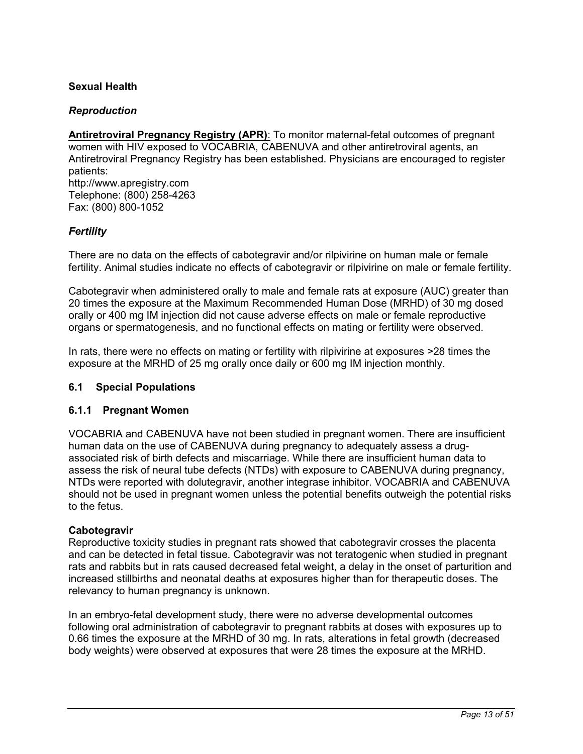## <span id="page-12-0"></span>**Sexual Health**

## *Reproduction*

**Antiretroviral Pregnancy Registry (APR):** To monitor maternal-fetal outcomes of pregnant women with HIV exposed to VOCABRIA, CABENUVA and other antiretroviral agents, an Antiretroviral Pregnancy Registry has been established. Physicians are encouraged to register patients: http://www.apregistry.com Telephone: (800) 258-4263 Fax: (800) 800-1052

## *Fertility*

There are no data on the effects of cabotegravir and/or rilpivirine on human male or female fertility. Animal studies indicate no effects of cabotegravir or rilpivirine on male or female fertility.

Cabotegravir when administered orally to male and female rats at exposure (AUC) greater than 20 times the exposure at the Maximum Recommended Human Dose (MRHD) of 30 mg dosed orally or 400 mg IM injection did not cause adverse effects on male or female reproductive organs or spermatogenesis, and no functional effects on mating or fertility were observed.

In rats, there were no effects on mating or fertility with rilpivirine at exposures >28 times the exposure at the MRHD of 25 mg orally once daily or 600 mg IM injection monthly.

## **6.1 Special Populations**

## **6.1.1 Pregnant Women**

VOCABRIA and CABENUVA have not been studied in pregnant women. There are insufficient human data on the use of CABENUVA during pregnancy to adequately assess a drugassociated risk of birth defects and miscarriage. While there are insufficient human data to assess the risk of neural tube defects (NTDs) with exposure to CABENUVA during pregnancy, NTDs were reported with dolutegravir, another integrase inhibitor. VOCABRIA and CABENUVA should not be used in pregnant women unless the potential benefits outweigh the potential risks to the fetus.

#### **Cabotegravir**

Reproductive toxicity studies in pregnant rats showed that cabotegravir crosses the placenta and can be detected in fetal tissue. Cabotegravir was not teratogenic when studied in pregnant rats and rabbits but in rats caused decreased fetal weight, a delay in the onset of parturition and increased stillbirths and neonatal deaths at exposures higher than for therapeutic doses. The relevancy to human pregnancy is unknown.

In an embryo-fetal development study, there were no adverse developmental outcomes following oral administration of cabotegravir to pregnant rabbits at doses with exposures up to 0.66 times the exposure at the MRHD of 30 mg. In rats, alterations in fetal growth (decreased body weights) were observed at exposures that were 28 times the exposure at the MRHD.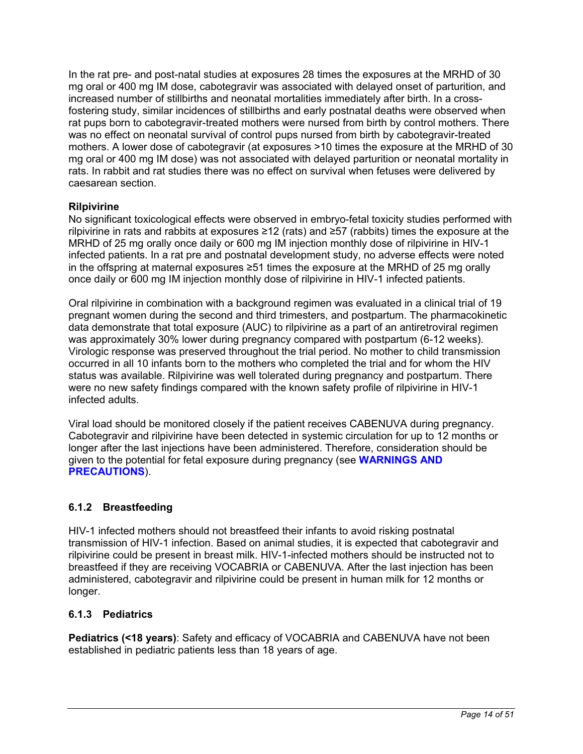<span id="page-13-0"></span>In the rat pre- and post-natal studies at exposures 28 times the exposures at the MRHD of 30 mg oral or 400 mg IM dose, cabotegravir was associated with delayed onset of parturition, and increased number of stillbirths and neonatal mortalities immediately after birth. In a crossfostering study, similar incidences of stillbirths and early postnatal deaths were observed when rat pups born to cabotegravir-treated mothers were nursed from birth by control mothers. There was no effect on neonatal survival of control pups nursed from birth by cabotegravir-treated mothers. A lower dose of cabotegravir (at exposures >10 times the exposure at the MRHD of 30 mg oral or 400 mg IM dose) was not associated with delayed parturition or neonatal mortality in rats. In rabbit and rat studies there was no effect on survival when fetuses were delivered by caesarean section.

# **Rilpivirine**

No significant toxicological effects were observed in embryo-fetal toxicity studies performed with rilpivirine in rats and rabbits at exposures ≥12 (rats) and ≥57 (rabbits) times the exposure at the MRHD of 25 mg orally once daily or 600 mg IM injection monthly dose of rilpivirine in HIV-1 infected patients. In a rat pre and postnatal development study, no adverse effects were noted in the offspring at maternal exposures ≥51 times the exposure at the MRHD of 25 mg orally once daily or 600 mg IM injection monthly dose of rilpivirine in HIV-1 infected patients.

Oral rilpivirine in combination with a background regimen was evaluated in a clinical trial of 19 pregnant women during the second and third trimesters, and postpartum. The pharmacokinetic data demonstrate that total exposure (AUC) to rilpivirine as a part of an antiretroviral regimen was approximately 30% lower during pregnancy compared with postpartum (6-12 weeks). Virologic response was preserved throughout the trial period. No mother to child transmission occurred in all 10 infants born to the mothers who completed the trial and for whom the HIV status was available. Rilpivirine was well tolerated during pregnancy and postpartum. There were no new safety findings compared with the known safety profile of rilpivirine in HIV-1 infected adults.

Viral load should be monitored closely if the patient receives CABENUVA during pregnancy. Cabotegravir and rilpivirine have been detected in systemic circulation for up to 12 months or longer after the last injections have been administered. Therefore, consideration should be given to the potential for fetal exposure during pregnancy (see **[WARNINGS AND](#page-9-0)  [PRECAUTIONS](#page-9-0)**).

# **6.1.2 Breastfeeding**

HIV-1 infected mothers should not breastfeed their infants to avoid risking postnatal transmission of HIV-1 infection. Based on animal studies, it is expected that cabotegravir and rilpivirine could be present in breast milk. HIV-1-infected mothers should be instructed not to breastfeed if they are receiving VOCABRIA or CABENUVA. After the last injection has been administered, cabotegravir and rilpivirine could be present in human milk for 12 months or longer.

# **6.1.3 Pediatrics**

**Pediatrics (<18 years)**: Safety and efficacy of VOCABRIA and CABENUVA have not been established in pediatric patients less than 18 years of age.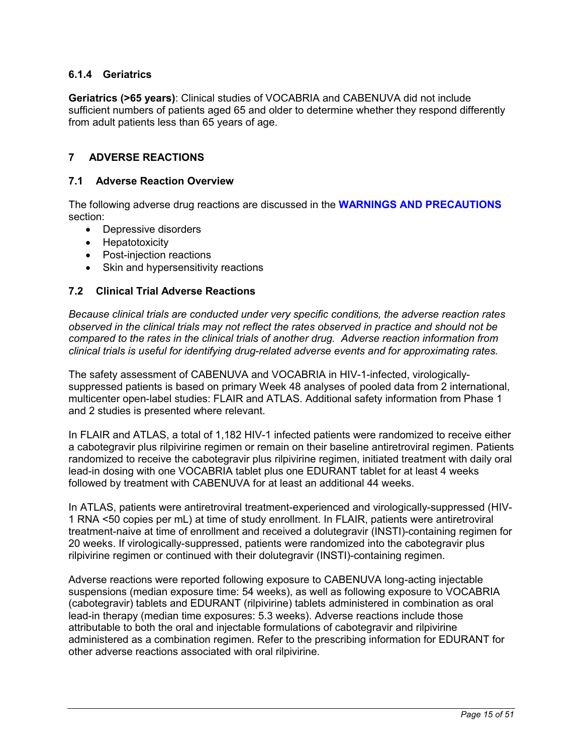# <span id="page-14-0"></span>**6.1.4 Geriatrics**

**Geriatrics (>65 years)**: Clinical studies of VOCABRIA and CABENUVA did not include sufficient numbers of patients aged 65 and older to determine whether they respond differently from adult patients less than 65 years of age.

# **7 ADVERSE REACTIONS**

### **7.1 Adverse Reaction Overview**

The following adverse drug reactions are discussed in the **[WARNINGS AND PRECAUTIONS](#page-9-0)** section:

- Depressive disorders
- Hepatotoxicity
- Post-injection reactions
- Skin and hypersensitivity reactions

### **7.2 Clinical Trial Adverse Reactions**

*Because clinical trials are conducted under very specific conditions, the adverse reaction rates observed in the clinical trials may not reflect the rates observed in practice and should not be compared to the rates in the clinical trials of another drug. Adverse reaction information from clinical trials is useful for identifying drug-related adverse events and for approximating rates.*

The safety assessment of CABENUVA and VOCABRIA in HIV-1-infected, virologicallysuppressed patients is based on primary Week 48 analyses of pooled data from 2 international, multicenter open-label studies: FLAIR and ATLAS. Additional safety information from Phase 1 and 2 studies is presented where relevant.

In FLAIR and ATLAS, a total of 1,182 HIV-1 infected patients were randomized to receive either a cabotegravir plus rilpivirine regimen or remain on their baseline antiretroviral regimen. Patients randomized to receive the cabotegravir plus rilpivirine regimen, initiated treatment with daily oral lead-in dosing with one VOCABRIA tablet plus one EDURANT tablet for at least 4 weeks followed by treatment with CABENUVA for at least an additional 44 weeks.

In ATLAS, patients were antiretroviral treatment-experienced and virologically-suppressed (HIV-1 RNA <50 copies per mL) at time of study enrollment. In FLAIR, patients were antiretroviral treatment-naive at time of enrollment and received a dolutegravir (INSTI)-containing regimen for 20 weeks. If virologically-suppressed, patients were randomized into the cabotegravir plus rilpivirine regimen or continued with their dolutegravir (INSTI)-containing regimen.

Adverse reactions were reported following exposure to CABENUVA long-acting injectable suspensions (median exposure time: 54 weeks), as well as following exposure to VOCABRIA (cabotegravir) tablets and EDURANT (rilpivirine) tablets administered in combination as oral lead-in therapy (median time exposures: 5.3 weeks). Adverse reactions include those attributable to both the oral and injectable formulations of cabotegravir and rilpivirine administered as a combination regimen. Refer to the prescribing information for EDURANT for other adverse reactions associated with oral rilpivirine.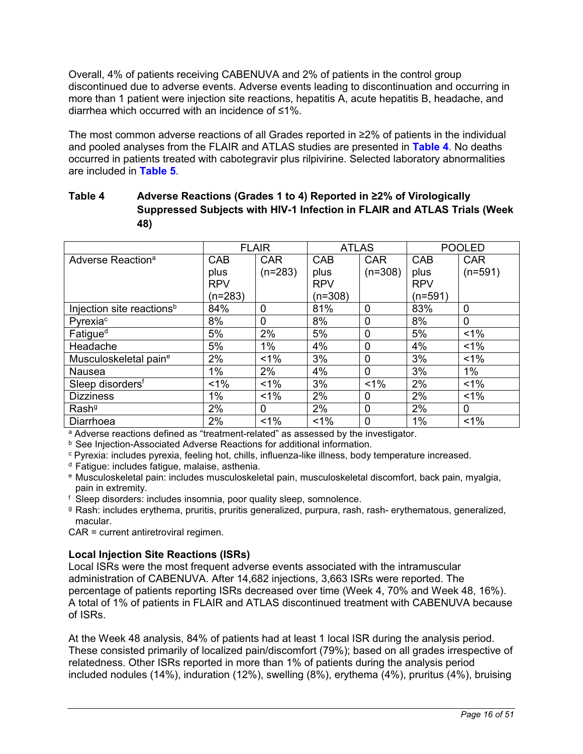<span id="page-15-0"></span>Overall, 4% of patients receiving CABENUVA and 2% of patients in the control group discontinued due to adverse events. Adverse events leading to discontinuation and occurring in more than 1 patient were injection site reactions, hepatitis A, acute hepatitis B, headache, and diarrhea which occurred with an incidence of ≤1%.

The most common adverse reactions of all Grades reported in ≥2% of patients in the individual and pooled analyses from the FLAIR and ATLAS studies are presented in **[Table 4](#page-15-0)**. No deaths occurred in patients treated with cabotegravir plus rilpivirine. Selected laboratory abnormalities are included in **[Table](#page-17-0) 5**.

# **Table 4 Adverse Reactions (Grades 1 to 4) Reported in ≥2% of Virologically Suppressed Subjects with HIV-1 Infection in FLAIR and ATLAS Trials (Week 48)**

|                                       | <b>FLAIR</b> |             | <b>ATLAS</b> |                | <b>POOLED</b> |             |
|---------------------------------------|--------------|-------------|--------------|----------------|---------------|-------------|
| Adverse Reaction <sup>a</sup>         | <b>CAB</b>   | <b>CAR</b>  | <b>CAB</b>   | <b>CAR</b>     | CAB           | <b>CAR</b>  |
|                                       | plus         | $(n=283)$   | plus         | $(n=308)$      | plus          | $(n=591)$   |
|                                       | <b>RPV</b>   |             | <b>RPV</b>   |                | <b>RPV</b>    |             |
|                                       | $(n=283)$    |             | $(n=308)$    |                | $(n=591)$     |             |
| Injection site reactions <sup>b</sup> | 84%          | 0           | 81%          | $\mathbf 0$    | 83%           | $\mathbf 0$ |
| Pyrexia <sup>c</sup>                  | 8%           | $\mathbf 0$ | 8%           | $\overline{0}$ | 8%            | $\Omega$    |
| Fatigue <sup>d</sup>                  | 5%           | 2%          | 5%           | $\overline{0}$ | 5%            | $< 1\%$     |
| Headache                              | 5%           | 1%          | 4%           | $\mathbf{0}$   | 4%            | $1\%$       |
| Musculoskeletal paine                 | 2%           | $1\%$       | 3%           | $\overline{0}$ | 3%            | $< 1\%$     |
| Nausea                                | 1%           | 2%          | 4%           | $\overline{0}$ | 3%            | $1\%$       |
| Sleep disorders <sup>f</sup>          | $1\%$        | $1\%$       | 3%           | $< 1\%$        | 2%            | $1\%$       |
| <b>Dizziness</b>                      | 1%           | $1\%$       | 2%           | $\Omega$       | 2%            | $1\%$       |
| Rash <sup>g</sup>                     | 2%           | 0           | 2%           | $\overline{0}$ | 2%            | $\Omega$    |
| Diarrhoea                             | 2%           | $1\%$       | $< 1\%$      | $\overline{0}$ | 1%            | $1\%$       |

<sup>a</sup> Adverse reactions defined as "treatment-related" as assessed by the investigator.

**b** See Injection-Associated Adverse Reactions for additional information.

<sup>c</sup> Pyrexia: includes pyrexia, feeling hot, chills, influenza-like illness, body temperature increased.

<sup>d</sup> Fatigue: includes fatigue, malaise, asthenia.

<sup>e</sup> Musculoskeletal pain: includes musculoskeletal pain, musculoskeletal discomfort, back pain, myalgia, pain in extremity.

<sup>f</sup> Sleep disorders: includes insomnia, poor quality sleep, somnolence.

<sup>g</sup> Rash: includes erythema, pruritis, pruritis generalized, purpura, rash, rash- erythematous, generalized, macular.

CAR = current antiretroviral regimen.

## **Local Injection Site Reactions (ISRs)**

Local ISRs were the most frequent adverse events associated with the intramuscular administration of CABENUVA. After 14,682 injections, 3,663 ISRs were reported. The percentage of patients reporting ISRs decreased over time (Week 4, 70% and Week 48, 16%). A total of 1% of patients in FLAIR and ATLAS discontinued treatment with CABENUVA because of ISRs.

At the Week 48 analysis, 84% of patients had at least 1 local ISR during the analysis period. These consisted primarily of localized pain/discomfort (79%); based on all grades irrespective of relatedness. Other ISRs reported in more than 1% of patients during the analysis period included nodules (14%), induration (12%), swelling (8%), erythema (4%), pruritus (4%), bruising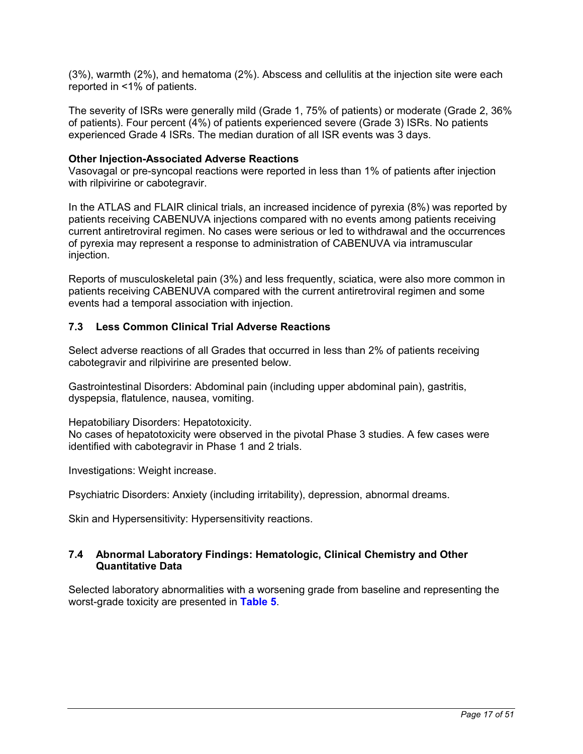<span id="page-16-0"></span>(3%), warmth (2%), and hematoma (2%). Abscess and cellulitis at the injection site were each reported in <1% of patients.

The severity of ISRs were generally mild (Grade 1, 75% of patients) or moderate (Grade 2, 36% of patients). Four percent (4%) of patients experienced severe (Grade 3) ISRs. No patients experienced Grade 4 ISRs. The median duration of all ISR events was 3 days.

#### **Other Injection-Associated Adverse Reactions**

Vasovagal or pre-syncopal reactions were reported in less than 1% of patients after injection with rilpivirine or cabotegravir.

In the ATLAS and FLAIR clinical trials, an increased incidence of pyrexia (8%) was reported by patients receiving CABENUVA injections compared with no events among patients receiving current antiretroviral regimen. No cases were serious or led to withdrawal and the occurrences of pyrexia may represent a response to administration of CABENUVA via intramuscular injection.

Reports of musculoskeletal pain (3%) and less frequently, sciatica, were also more common in patients receiving CABENUVA compared with the current antiretroviral regimen and some events had a temporal association with injection.

## **7.3 Less Common Clinical Trial Adverse Reactions**

Select adverse reactions of all Grades that occurred in less than 2% of patients receiving cabotegravir and rilpivirine are presented below.

Gastrointestinal Disorders: Abdominal pain (including upper abdominal pain), gastritis, dyspepsia, flatulence, nausea, vomiting.

Hepatobiliary Disorders: Hepatotoxicity.

No cases of hepatotoxicity were observed in the pivotal Phase 3 studies. A few cases were identified with cabotegravir in Phase 1 and 2 trials.

Investigations: Weight increase.

Psychiatric Disorders: Anxiety (including irritability), depression, abnormal dreams.

Skin and Hypersensitivity: Hypersensitivity reactions.

### **7.4 Abnormal Laboratory Findings: Hematologic, Clinical Chemistry and Other Quantitative Data**

Selected laboratory abnormalities with a worsening grade from baseline and representing the worst-grade toxicity are presented in **[Table](#page-17-0) 5**.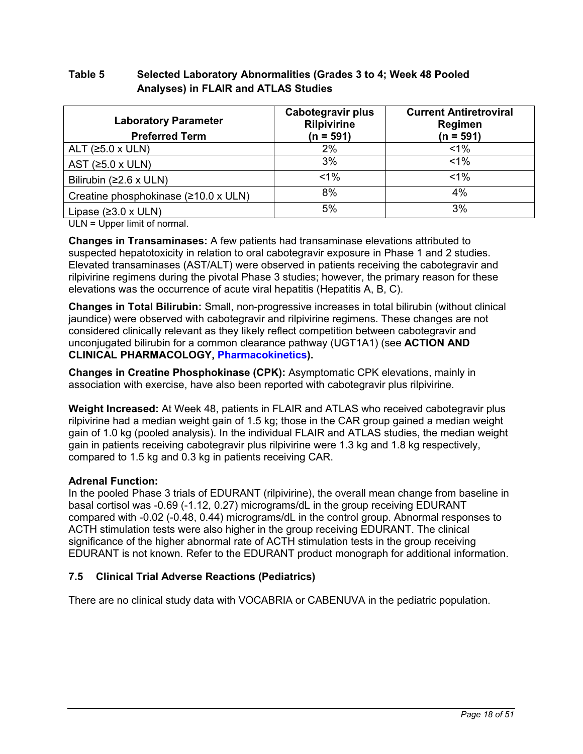# <span id="page-17-0"></span>**Table 5 Selected Laboratory Abnormalities (Grades 3 to 4; Week 48 Pooled Analyses) in FLAIR and ATLAS Studies**

| <b>Laboratory Parameter</b><br><b>Preferred Term</b> | Cabotegravir plus<br><b>Rilpivirine</b><br>$(n = 591)$ | <b>Current Antiretroviral</b><br>Regimen<br>$(n = 591)$ |
|------------------------------------------------------|--------------------------------------------------------|---------------------------------------------------------|
| ALT $(25.0 \times ULN)$                              | 2%                                                     | $1\%$                                                   |
| AST ( $\geq 5.0$ x ULN)                              | 3%                                                     | $< 1\%$                                                 |
| Bilirubin ( $\geq$ 2.6 x ULN)                        | $< 1\%$                                                | $1\%$                                                   |
| Creatine phosphokinase (≥10.0 x ULN)                 | 8%                                                     | 4%                                                      |
| Lipase $(23.0 \times ULN)$                           | 5%                                                     | 3%                                                      |

ULN = Upper limit of normal.

**Changes in Transaminases:** A few patients had transaminase elevations attributed to suspected hepatotoxicity in relation to oral cabotegravir exposure in Phase 1 and 2 studies. Elevated transaminases (AST/ALT) were observed in patients receiving the cabotegravir and rilpivirine regimens during the pivotal Phase 3 studies; however, the primary reason for these elevations was the occurrence of acute viral hepatitis (Hepatitis A, B, C).

**Changes in Total Bilirubin:** Small, non-progressive increases in total bilirubin (without clinical jaundice) were observed with cabotegravir and rilpivirine regimens. These changes are not considered clinically relevant as they likely reflect competition between cabotegravir and unconjugated bilirubin for a common clearance pathway (UGT1A1) (see **ACTION AND CLINICAL PHARMACOLOGY, [Pharmacokinetics\)](#page-26-0).**

**Changes in Creatine Phosphokinase (CPK):** Asymptomatic CPK elevations, mainly in association with exercise, have also been reported with cabotegravir plus rilpivirine.

**Weight Increased:** At Week 48, patients in FLAIR and ATLAS who received cabotegravir plus rilpivirine had a median weight gain of 1.5 kg; those in the CAR group gained a median weight gain of 1.0 kg (pooled analysis). In the individual FLAIR and ATLAS studies, the median weight gain in patients receiving cabotegravir plus rilpivirine were 1.3 kg and 1.8 kg respectively, compared to 1.5 kg and 0.3 kg in patients receiving CAR.

# **Adrenal Function:**

In the pooled Phase 3 trials of EDURANT (rilpivirine), the overall mean change from baseline in basal cortisol was -0.69 (-1.12, 0.27) micrograms/dL in the group receiving EDURANT compared with -0.02 (-0.48, 0.44) micrograms/dL in the control group. Abnormal responses to ACTH stimulation tests were also higher in the group receiving EDURANT. The clinical significance of the higher abnormal rate of ACTH stimulation tests in the group receiving EDURANT is not known. Refer to the EDURANT product monograph for additional information.

# **7.5 Clinical Trial Adverse Reactions (Pediatrics)**

There are no clinical study data with VOCABRIA or CABENUVA in the pediatric population.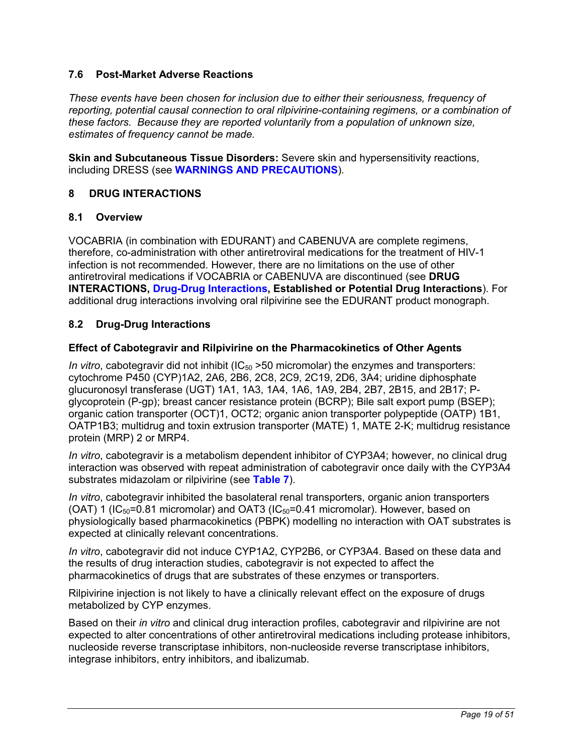## <span id="page-18-0"></span>**7.6 Post-Market Adverse Reactions**

*These events have been chosen for inclusion due to either their seriousness, frequency of reporting, potential causal connection to oral rilpivirine-containing regimens, or a combination of these factors. Because they are reported voluntarily from a population of unknown size, estimates of frequency cannot be made.* 

**Skin and Subcutaneous Tissue Disorders:** Severe skin and hypersensitivity reactions, including DRESS (see **[WARNINGS AND PRECAUTIONS](#page-9-0)**)*.*

# **8 DRUG INTERACTIONS**

## **8.1 Overview**

VOCABRIA (in combination with EDURANT) and CABENUVA are complete regimens, therefore, co-administration with other antiretroviral medications for the treatment of HIV-1 infection is not recommended. However, there are no limitations on the use of other antiretroviral medications if VOCABRIA or CABENUVA are discontinued (see **DRUG INTERACTIONS, [Drug-Drug Interactions](#page-18-0), Established or Potential Drug Interactions**). For additional drug interactions involving oral rilpivirine see the EDURANT product monograph.

# **8.2 Drug-Drug Interactions**

## **Effect of Cabotegravir and Rilpivirine on the Pharmacokinetics of Other Agents**

*In vitro*, cabotegravir did not inhibit  $\left($ IC<sub>50</sub> > 50 micromolar) the enzymes and transporters: cytochrome P450 (CYP)1A2, 2A6, 2B6, 2C8, 2C9, 2C19, 2D6, 3A4; uridine diphosphate glucuronosyl transferase (UGT) 1A1, 1A3, 1A4, 1A6, 1A9, 2B4, 2B7, 2B15, and 2B17; Pglycoprotein (P-gp); breast cancer resistance protein (BCRP); Bile salt export pump (BSEP); organic cation transporter (OCT)1, OCT2; organic anion transporter polypeptide (OATP) 1B1, OATP1B3; multidrug and toxin extrusion transporter (MATE) 1, MATE 2-K; multidrug resistance protein (MRP) 2 or MRP4.

*In vitro*, cabotegravir is a metabolism dependent inhibitor of CYP3A4; however, no clinical drug interaction was observed with repeat administration of cabotegravir once daily with the CYP3A4 substrates midazolam or rilpivirine (see **[Table 7](#page-21-0)**).

*In vitro*, cabotegravir inhibited the basolateral renal transporters, organic anion transporters (OAT) 1 ( $IC_{50}$ =0.81 micromolar) and OAT3 ( $IC_{50}$ =0.41 micromolar). However, based on physiologically based pharmacokinetics (PBPK) modelling no interaction with OAT substrates is expected at clinically relevant concentrations.

*In vitro*, cabotegravir did not induce CYP1A2, CYP2B6, or CYP3A4. Based on these data and the results of drug interaction studies, cabotegravir is not expected to affect the pharmacokinetics of drugs that are substrates of these enzymes or transporters.

Rilpivirine injection is not likely to have a clinically relevant effect on the exposure of drugs metabolized by CYP enzymes.

Based on their *in vitro* and clinical drug interaction profiles, cabotegravir and rilpivirine are not expected to alter concentrations of other antiretroviral medications including protease inhibitors, nucleoside reverse transcriptase inhibitors, non-nucleoside reverse transcriptase inhibitors, integrase inhibitors, entry inhibitors, and ibalizumab.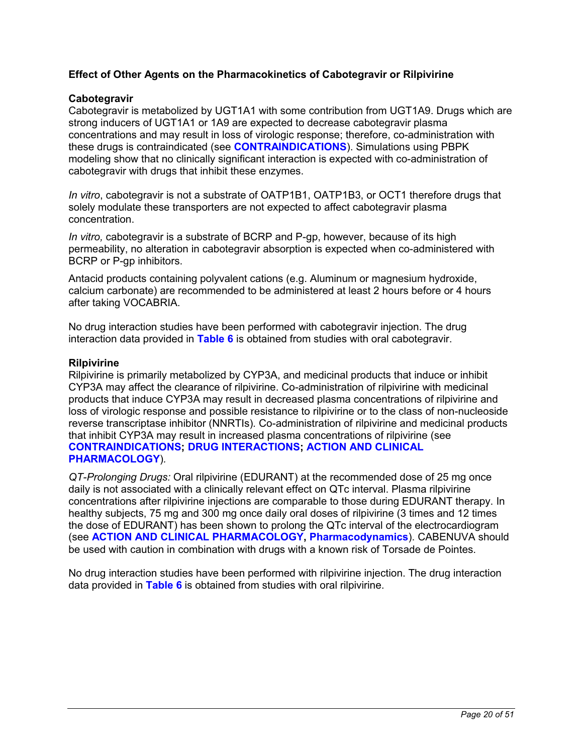## **Effect of Other Agents on the Pharmacokinetics of Cabotegravir or Rilpivirine**

### **Cabotegravir**

Cabotegravir is metabolized by UGT1A1 with some contribution from UGT1A9. Drugs which are strong inducers of UGT1A1 or 1A9 are expected to decrease cabotegravir plasma concentrations and may result in loss of virologic response; therefore, co-administration with these drugs is contraindicated (see **[CONTRAINDICATIONS](#page-3-0)**). Simulations using PBPK modeling show that no clinically significant interaction is expected with co-administration of cabotegravir with drugs that inhibit these enzymes.

*In vitro*, cabotegravir is not a substrate of OATP1B1, OATP1B3, or OCT1 therefore drugs that solely modulate these transporters are not expected to affect cabotegravir plasma concentration.

*In vitro,* cabotegravir is a substrate of BCRP and P-gp, however, because of its high permeability, no alteration in cabotegravir absorption is expected when co-administered with BCRP or P-gp inhibitors.

Antacid products containing polyvalent cations (e.g. Aluminum or magnesium hydroxide, calcium carbonate) are recommended to be administered at least 2 hours before or 4 hours after taking VOCABRIA.

No drug interaction studies have been performed with cabotegravir injection. The drug interaction data provided in **[Table](#page-20-0) 6** is obtained from studies with oral cabotegravir.

#### **Rilpivirine**

Rilpivirine is primarily metabolized by CYP3A, and medicinal products that induce or inhibit CYP3A may affect the clearance of rilpivirine. Co-administration of rilpivirine with medicinal products that induce CYP3A may result in decreased plasma concentrations of rilpivirine and loss of virologic response and possible resistance to rilpivirine or to the class of non-nucleoside reverse transcriptase inhibitor (NNRTIs)*.* Co-administration of rilpivirine and medicinal products that inhibit CYP3A may result in increased plasma concentrations of rilpivirine (see **[CONTRAINDICATIONS](#page-3-0); [DRUG INTERACTIONS](#page-18-0); [ACTION AND CLINICAL](#page-25-0) [PHARMACOLOGY](#page-25-0)**)*.*

*QT-Prolonging Drugs:* Oral rilpivirine (EDURANT) at the recommended dose of 25 mg once daily is not associated with a clinically relevant effect on QTc interval. Plasma rilpivirine concentrations after rilpivirine injections are comparable to those during EDURANT therapy. In healthy subjects, 75 mg and 300 mg once daily oral doses of rilpivirine (3 times and 12 times the dose of EDURANT) has been shown to prolong the QTc interval of the electrocardiogram (see **[ACTION AND CLINICAL PHARMACOLOGY,](#page-25-0) [Pharmacodynamics](#page-25-0)**). CABENUVA should be used with caution in combination with drugs with a known risk of Torsade de Pointes.

No drug interaction studies have been performed with rilpivirine injection. The drug interaction data provided in **[Table](#page-20-0) 6** is obtained from studies with oral rilpivirine.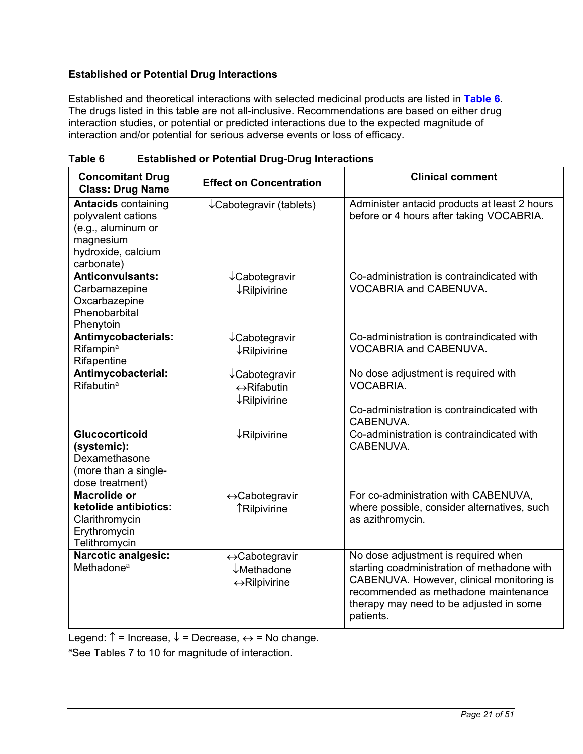# <span id="page-20-0"></span>**Established or Potential Drug Interactions**

Established and theoretical interactions with selected medicinal products are listed in **[Table](#page-20-0) 6**. The drugs listed in this table are not all-inclusive. Recommendations are based on either drug interaction studies, or potential or predicted interactions due to the expected magnitude of interaction and/or potential for serious adverse events or loss of efficacy.

| <b>Concomitant Drug</b><br><b>Class: Drug Name</b>                                                                      | <b>Effect on Concentration</b>                                                       | <b>Clinical comment</b>                                                                                                                                                                                                         |
|-------------------------------------------------------------------------------------------------------------------------|--------------------------------------------------------------------------------------|---------------------------------------------------------------------------------------------------------------------------------------------------------------------------------------------------------------------------------|
| <b>Antacids containing</b><br>polyvalent cations<br>(e.g., aluminum or<br>magnesium<br>hydroxide, calcium<br>carbonate) | $\downarrow$ Cabotegravir (tablets)                                                  | Administer antacid products at least 2 hours<br>before or 4 hours after taking VOCABRIA.                                                                                                                                        |
| <b>Anticonvulsants:</b><br>Carbamazepine<br>Oxcarbazepine<br>Phenobarbital<br>Phenytoin                                 | ↓Cabotegravir<br>$\downarrow$ Rilpivirine                                            | Co-administration is contraindicated with<br>VOCABRIA and CABENUVA.                                                                                                                                                             |
| Antimycobacterials:<br>Rifampin <sup>a</sup><br>Rifapentine                                                             | $\downarrow$ Cabotegravir<br>$\downarrow$ Rilpivirine                                | Co-administration is contraindicated with<br>VOCABRIA and CABENUVA.                                                                                                                                                             |
| Antimycobacterial:<br>Rifabutin <sup>a</sup>                                                                            | $\downarrow$ Cabotegravir<br>$\leftrightarrow$ Rifabutin<br>$\downarrow$ Rilpivirine | No dose adjustment is required with<br>VOCABRIA.<br>Co-administration is contraindicated with<br>CABENUVA.                                                                                                                      |
| <b>Glucocorticoid</b><br>(systemic):<br>Dexamethasone<br>(more than a single-<br>dose treatment)                        | $\downarrow$ Rilpivirine                                                             | Co-administration is contraindicated with<br>CABENUVA.                                                                                                                                                                          |
| Macrolide or<br>ketolide antibiotics:<br>Clarithromycin<br>Erythromycin<br>Telithromycin                                | ←Cabotegravir<br><b>TRilpivirine</b>                                                 | For co-administration with CABENUVA,<br>where possible, consider alternatives, such<br>as azithromycin.                                                                                                                         |
| <b>Narcotic analgesic:</b><br>Methadone <sup>a</sup>                                                                    | ←Cabotegravir<br>$\downarrow$ Methadone<br>$\leftrightarrow$ Rilpivirine             | No dose adjustment is required when<br>starting coadministration of methadone with<br>CABENUVA. However, clinical monitoring is<br>recommended as methadone maintenance<br>therapy may need to be adjusted in some<br>patients. |

**Table 6 Established or Potential Drug-Drug Interactions** 

Legend:  $\uparrow$  = Increase,  $\downarrow$  = Decrease,  $\leftrightarrow$  = No change.

aSee Tables 7 to 10 for magnitude of interaction.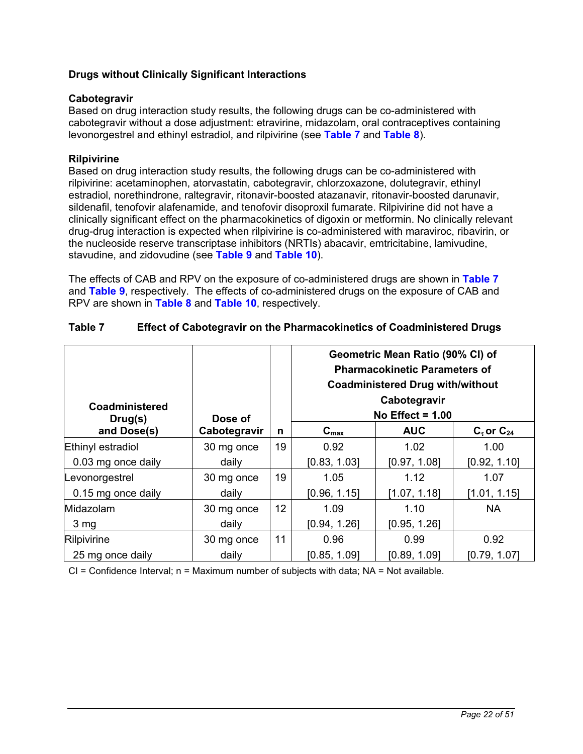## <span id="page-21-0"></span>**Drugs without Clinically Significant Interactions**

### **Cabotegravir**

Based on drug interaction study results, the following drugs can be co-administered with cabotegravir without a dose adjustment: etravirine, midazolam, oral contraceptives containing levonorgestrel and ethinyl estradiol, and rilpivirine (see **[Table 7](#page-21-0)** and **[Table 8](#page-22-0)**).

### **Rilpivirine**

Based on drug interaction study results, the following drugs can be co-administered with rilpivirine: acetaminophen, atorvastatin, cabotegravir, chlorzoxazone, dolutegravir, ethinyl estradiol, norethindrone, raltegravir, ritonavir-boosted atazanavir, ritonavir-boosted darunavir, sildenafil, tenofovir alafenamide, and tenofovir disoproxil fumarate. Rilpivirine did not have a clinically significant effect on the pharmacokinetics of digoxin or metformin. No clinically relevant drug-drug interaction is expected when rilpivirine is co-administered with maraviroc, ribavirin, or the nucleoside reserve transcriptase inhibitors (NRTIs) abacavir, emtricitabine, lamivudine, stavudine, and zidovudine (see **[Table 9](#page-22-0)** and **[Table 10](#page-24-0)**).

The effects of CAB and RPV on the exposure of co-administered drugs are shown in **[Table 7](#page-21-0)** and **[Table 9](#page-22-0)**, respectively. The effects of co-administered drugs on the exposure of CAB and RPV are shown in **[Table 8](#page-22-0)** and **[Table 10](#page-24-0)**, respectively.

| Coadministered<br>Drug(s) | Dose of      |    | Geometric Mean Ratio (90% CI) of<br><b>Pharmacokinetic Parameters of</b><br><b>Coadministered Drug with/without</b><br>Cabotegravir<br>No Effect = $1.00$ |              |               |  |
|---------------------------|--------------|----|-----------------------------------------------------------------------------------------------------------------------------------------------------------|--------------|---------------|--|
| and Dose(s)               | Cabotegravir | n  | $C_{\text{max}}$                                                                                                                                          | <b>AUC</b>   | $Cz$ or $C24$ |  |
| Ethinyl estradiol         | 30 mg once   | 19 | 0.92                                                                                                                                                      | 1.02         | 1.00          |  |
| 0.03 mg once daily        | daily        |    | [0.83, 1.03]                                                                                                                                              | [0.97, 1.08] | [0.92, 1.10]  |  |
| Levonorgestrel            | 30 mg once   | 19 | 1.05                                                                                                                                                      | 1.12         | 1.07          |  |
| 0.15 mg once daily        | daily        |    | [0.96, 1.15]                                                                                                                                              | [1.07, 1.18] | [1.01, 1.15]  |  |
| Midazolam                 | 30 mg once   | 12 | 1.09                                                                                                                                                      | 1.10         | <b>NA</b>     |  |
| 3 mg                      | daily        |    | [0.94, 1.26]                                                                                                                                              | [0.95, 1.26] |               |  |
| Rilpivirine               | 30 mg once   | 11 | 0.96                                                                                                                                                      | 0.99         | 0.92          |  |
| 25 mg once daily          | daily        |    | [0.85, 1.09]                                                                                                                                              | [0.89, 1.09] | [0.79, 1.07]  |  |

### **Table 7 Effect of Cabotegravir on the Pharmacokinetics of Coadministered Drugs**

 $CI =$  Confidence Interval;  $n =$  Maximum number of subjects with data;  $NA =$  Not available.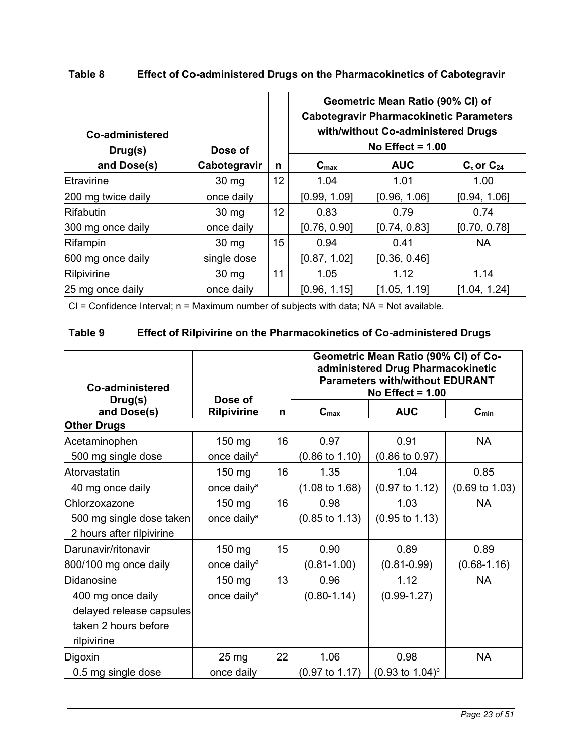| Co-administered<br>Drug(s) | Dose of          |    | Geometric Mean Ratio (90% CI) of<br><b>Cabotegravir Pharmacokinetic Parameters</b><br>with/without Co-administered Drugs<br>No Effect = $1.00$<br><b>AUC</b><br>$C_{\text{max}}$<br>$Cz$ or $C24$ |              |              |  |
|----------------------------|------------------|----|---------------------------------------------------------------------------------------------------------------------------------------------------------------------------------------------------|--------------|--------------|--|
| and Dose(s)                | Cabotegravir     | n  |                                                                                                                                                                                                   |              |              |  |
| Etravirine                 | 30 mg            | 12 | 1.04                                                                                                                                                                                              | 1.01         | 1.00         |  |
| 200 mg twice daily         | once daily       |    | [0.99, 1.09]                                                                                                                                                                                      | [0.96, 1.06] | [0.94, 1.06] |  |
| <b>Rifabutin</b>           | 30 <sub>mg</sub> | 12 | 0.83                                                                                                                                                                                              | 0.79         | 0.74         |  |
| 300 mg once daily          | once daily       |    | [0.76, 0.90]                                                                                                                                                                                      | [0.74, 0.83] | [0.70, 0.78] |  |
| Rifampin                   | 30 <sub>mg</sub> | 15 | 0.94                                                                                                                                                                                              | 0.41         | <b>NA</b>    |  |
| 600 mg once daily          | single dose      |    | [0.87, 1.02]                                                                                                                                                                                      | [0.36, 0.46] |              |  |
| Rilpivirine                | 30 <sub>mg</sub> | 11 | 1.05                                                                                                                                                                                              | 1.12         | 1.14         |  |
| 25 mg once daily           | once daily       |    | [0.96, 1.15]                                                                                                                                                                                      | [1.05, 1.19] | [1.04, 1.24] |  |

# <span id="page-22-0"></span>**Table 8 Effect of Co-administered Drugs on the Pharmacokinetics of Cabotegravir**

CI = Confidence Interval; n = Maximum number of subjects with data; NA = Not available.

# **Table 9 Effect of Rilpivirine on the Pharmacokinetics of Co-administered Drugs**

| Co-administered<br>Drug(s) | Dose of                 |    | Geometric Mean Ratio (90% CI) of Co-<br>administered Drug Pharmacokinetic<br><b>Parameters with/without EDURANT</b><br>No Effect = $1.00$ |                             |                           |  |  |
|----------------------------|-------------------------|----|-------------------------------------------------------------------------------------------------------------------------------------------|-----------------------------|---------------------------|--|--|
| and Dose(s)                | <b>Rilpivirine</b>      | n  | $C_{max}$                                                                                                                                 | <b>AUC</b>                  | $C_{min}$                 |  |  |
| <b>Other Drugs</b>         |                         |    |                                                                                                                                           |                             |                           |  |  |
| Acetaminophen              | 150 mg                  | 16 | 0.97                                                                                                                                      | 0.91                        | <b>NA</b>                 |  |  |
| 500 mg single dose         | once daily <sup>a</sup> |    | $(0.86 \text{ to } 1.10)$                                                                                                                 | $(0.86 \text{ to } 0.97)$   |                           |  |  |
| Atorvastatin               | 150 mg                  | 16 | 1.35                                                                                                                                      | 1.04                        | 0.85                      |  |  |
| 40 mg once daily           | once daily <sup>a</sup> |    | $(1.08 \text{ to } 1.68)$                                                                                                                 | $(0.97 \text{ to } 1.12)$   | $(0.69 \text{ to } 1.03)$ |  |  |
| Chlorzoxazone              | 150 mg                  | 16 | 0.98                                                                                                                                      | 1.03                        | <b>NA</b>                 |  |  |
| 500 mg single dose taken   | once daily <sup>a</sup> |    | $(0.85 \text{ to } 1.13)$                                                                                                                 | $(0.95 \text{ to } 1.13)$   |                           |  |  |
| 2 hours after rilpivirine  |                         |    |                                                                                                                                           |                             |                           |  |  |
| Darunavir/ritonavir        | 150 mg                  | 15 | 0.90                                                                                                                                      | 0.89                        | 0.89                      |  |  |
| 800/100 mg once daily      | once daily <sup>a</sup> |    | $(0.81 - 1.00)$                                                                                                                           | $(0.81 - 0.99)$             | $(0.68 - 1.16)$           |  |  |
| Didanosine                 | $150$ mg                | 13 | 0.96                                                                                                                                      | 1.12                        | <b>NA</b>                 |  |  |
| 400 mg once daily          | once daily <sup>a</sup> |    | $(0.80 - 1.14)$                                                                                                                           | $(0.99 - 1.27)$             |                           |  |  |
| delayed release capsules   |                         |    |                                                                                                                                           |                             |                           |  |  |
| taken 2 hours before       |                         |    |                                                                                                                                           |                             |                           |  |  |
| rilpivirine                |                         |    |                                                                                                                                           |                             |                           |  |  |
| Digoxin                    | 25 mg                   | 22 | 1.06                                                                                                                                      | 0.98                        | <b>NA</b>                 |  |  |
| 0.5 mg single dose         | once daily              |    | $(0.97 \text{ to } 1.17)$                                                                                                                 | $(0.93 \text{ to } 1.04)^c$ |                           |  |  |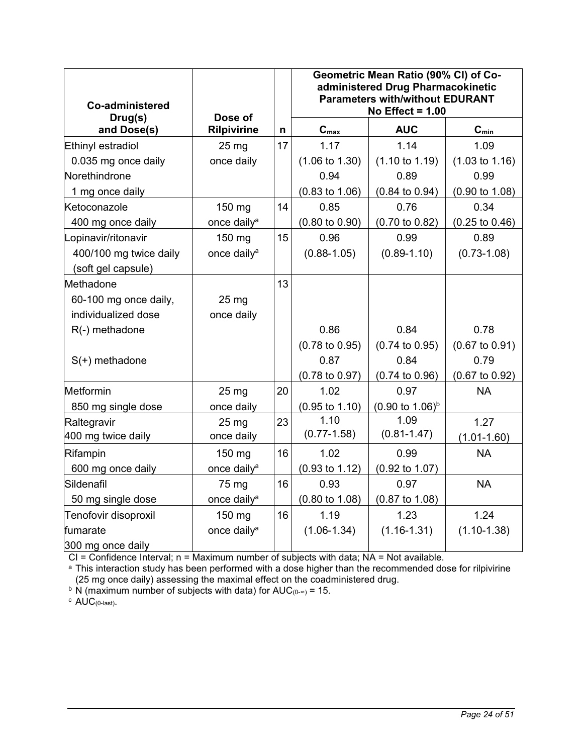| <b>Co-administered</b><br>Drug(s) | Dose of                 |    | Geometric Mean Ratio (90% CI) of Co-<br>administered Drug Pharmacokinetic<br><b>Parameters with/without EDURANT</b><br>No Effect = $1.00$ |                             |                           |  |
|-----------------------------------|-------------------------|----|-------------------------------------------------------------------------------------------------------------------------------------------|-----------------------------|---------------------------|--|
| and Dose(s)                       | <b>Rilpivirine</b>      | n  | $C_{max}$                                                                                                                                 | <b>AUC</b>                  | $C_{min}$                 |  |
| Ethinyl estradiol                 | 25 <sub>mg</sub>        | 17 | 1.17                                                                                                                                      | 1.14                        | 1.09                      |  |
| 0.035 mg once daily               | once daily              |    | $(1.06 \text{ to } 1.30)$                                                                                                                 | $(1.10 \text{ to } 1.19)$   | $(1.03 \text{ to } 1.16)$ |  |
| Norethindrone                     |                         |    | 0.94                                                                                                                                      | 0.89                        | 0.99                      |  |
| 1 mg once daily                   |                         |    | $(0.83 \text{ to } 1.06)$                                                                                                                 | $(0.84 \text{ to } 0.94)$   | $(0.90 \text{ to } 1.08)$ |  |
| Ketoconazole                      | 150 mg                  | 14 | 0.85                                                                                                                                      | 0.76                        | 0.34                      |  |
| 400 mg once daily                 | once daily <sup>a</sup> |    | $(0.80 \text{ to } 0.90)$                                                                                                                 | $(0.70 \text{ to } 0.82)$   | $(0.25 \text{ to } 0.46)$ |  |
| Lopinavir/ritonavir               | 150 mg                  | 15 | 0.96                                                                                                                                      | 0.99                        | 0.89                      |  |
| 400/100 mg twice daily            | once daily <sup>a</sup> |    | $(0.88 - 1.05)$                                                                                                                           | $(0.89 - 1.10)$             | $(0.73 - 1.08)$           |  |
| (soft gel capsule)                |                         |    |                                                                                                                                           |                             |                           |  |
| Methadone                         |                         | 13 |                                                                                                                                           |                             |                           |  |
| 60-100 mg once daily,             | 25 <sub>mg</sub>        |    |                                                                                                                                           |                             |                           |  |
| individualized dose               | once daily              |    |                                                                                                                                           |                             |                           |  |
| R(-) methadone                    |                         |    | 0.86                                                                                                                                      | 0.84                        | 0.78                      |  |
|                                   |                         |    | $(0.78 \text{ to } 0.95)$                                                                                                                 | $(0.74 \text{ to } 0.95)$   | $(0.67 \text{ to } 0.91)$ |  |
| $S(+)$ methadone                  |                         |    | 0.87                                                                                                                                      | 0.84                        | 0.79                      |  |
|                                   |                         |    | $(0.78 \text{ to } 0.97)$                                                                                                                 | $(0.74 \text{ to } 0.96)$   | $(0.67 \text{ to } 0.92)$ |  |
| Metformin                         | 25 mg                   | 20 | 1.02                                                                                                                                      | 0.97                        | <b>NA</b>                 |  |
| 850 mg single dose                | once daily              |    | $(0.95 \text{ to } 1.10)$                                                                                                                 | $(0.90 \text{ to } 1.06)^b$ |                           |  |
| Raltegravir                       | 25 <sub>mg</sub>        | 23 | 1.10                                                                                                                                      | 1.09                        | 1.27                      |  |
| 400 mg twice daily                | once daily              |    | $(0.77 - 1.58)$                                                                                                                           | $(0.81 - 1.47)$             | $(1.01 - 1.60)$           |  |
| Rifampin                          | 150 mg                  | 16 | 1.02                                                                                                                                      | 0.99                        | <b>NA</b>                 |  |
| 600 mg once daily                 | once daily <sup>a</sup> |    | $(0.93 \text{ to } 1.12)$                                                                                                                 | $(0.92 \text{ to } 1.07)$   |                           |  |
| Sildenafil                        | 75 mg                   | 16 | 0.93                                                                                                                                      | 0.97                        | <b>NA</b>                 |  |
| 50 mg single dose                 | once daily <sup>a</sup> |    | $(0.80 \text{ to } 1.08)$                                                                                                                 | $(0.87 \text{ to } 1.08)$   |                           |  |
| Tenofovir disoproxil              | 150 mg                  | 16 | 1.19                                                                                                                                      | 1.23                        | 1.24                      |  |
| fumarate                          | once daily <sup>a</sup> |    | $(1.06 - 1.34)$                                                                                                                           | $(1.16 - 1.31)$             | $(1.10-1.38)$             |  |
| 300 mg once daily                 |                         |    |                                                                                                                                           |                             |                           |  |

CI = Confidence Interval; n = Maximum number of subjects with data; NA = Not available.

<sup>a</sup> This interaction study has been performed with a dose higher than the recommended dose for rilpivirine (25 mg once daily) assessing the maximal effect on the coadministered drug.

<sup>b</sup> N (maximum number of subjects with data) for AUC<sub>(0-∞)</sub> = 15.

 $c$  AUC(0-last).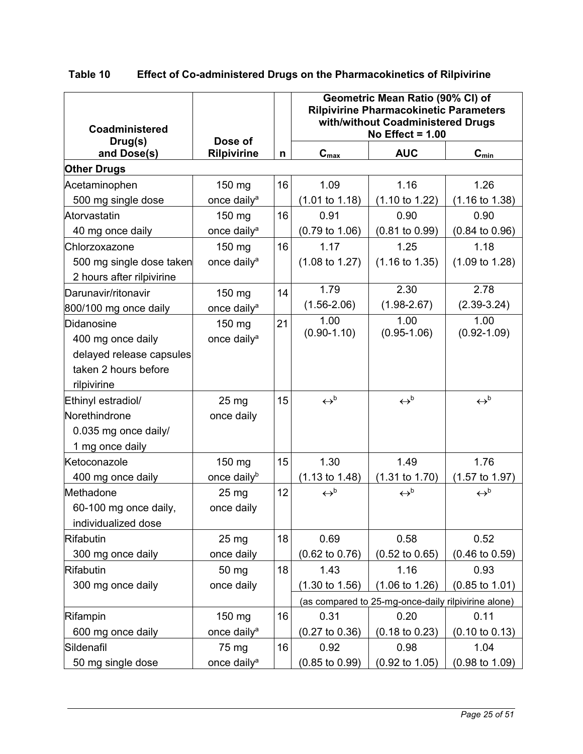<span id="page-24-0"></span>

| Table 10 | <b>Effect of Co-administered Drugs on the Pharmacokinetics of Rilpivirine</b> |  |
|----------|-------------------------------------------------------------------------------|--|
|----------|-------------------------------------------------------------------------------|--|

| <b>Coadministered</b><br>Drug(s) | Dose of                 |    | Geometric Mean Ratio (90% CI) of<br><b>Rilpivirine Pharmacokinetic Parameters</b><br>with/without Coadministered Drugs<br>No Effect = $1.00$ |                                                     |                              |
|----------------------------------|-------------------------|----|----------------------------------------------------------------------------------------------------------------------------------------------|-----------------------------------------------------|------------------------------|
| and Dose(s)                      | <b>Rilpivirine</b>      | n  | $C_{\text{max}}$                                                                                                                             | <b>AUC</b>                                          | $C_{\text{min}}$             |
| <b>Other Drugs</b>               |                         |    |                                                                                                                                              |                                                     |                              |
| Acetaminophen                    | 150 mg                  | 16 | 1.09                                                                                                                                         | 1.16                                                | 1.26                         |
| 500 mg single dose               | once daily <sup>a</sup> |    | $(1.01 \text{ to } 1.18)$                                                                                                                    | $(1.10 \text{ to } 1.22)$                           | $(1.16 \text{ to } 1.38)$    |
| Atorvastatin                     | 150 mg                  | 16 | 0.91                                                                                                                                         | 0.90                                                | 0.90                         |
| 40 mg once daily                 | once daily <sup>a</sup> |    | $(0.79 \text{ to } 1.06)$                                                                                                                    | $(0.81 \text{ to } 0.99)$                           | $(0.84 \text{ to } 0.96)$    |
| Chlorzoxazone                    | 150 mg                  | 16 | 1.17                                                                                                                                         | 1.25                                                | 1.18                         |
| 500 mg single dose taken         | once daily <sup>a</sup> |    | $(1.08 \text{ to } 1.27)$                                                                                                                    | $(1.16 \text{ to } 1.35)$                           | $(1.09 \text{ to } 1.28)$    |
| 2 hours after rilpivirine        |                         |    |                                                                                                                                              |                                                     |                              |
| Darunavir/ritonavir              | 150 mg                  | 14 | 1.79                                                                                                                                         | 2.30                                                | 2.78                         |
| 800/100 mg once daily            | once daily <sup>a</sup> |    | $(1.56 - 2.06)$                                                                                                                              | $(1.98 - 2.67)$                                     | $(2.39 - 3.24)$              |
| Didanosine                       | $150$ mg                | 21 | 1.00                                                                                                                                         | 1.00                                                | 1.00                         |
| 400 mg once daily                | once daily <sup>a</sup> |    | $(0.90 - 1.10)$                                                                                                                              | $(0.95 - 1.06)$                                     | $(0.92 - 1.09)$              |
| delayed release capsules         |                         |    |                                                                                                                                              |                                                     |                              |
| taken 2 hours before             |                         |    |                                                                                                                                              |                                                     |                              |
| rilpivirine                      |                         |    |                                                                                                                                              |                                                     |                              |
| Ethinyl estradiol/               | 25 <sub>mg</sub>        | 15 | $\leftrightarrow^{\text{b}}$                                                                                                                 | $\leftrightarrow^{\text{b}}$                        | $\leftrightarrow^{\text{b}}$ |
| Norethindrone                    | once daily              |    |                                                                                                                                              |                                                     |                              |
| 0.035 mg once daily/             |                         |    |                                                                                                                                              |                                                     |                              |
| 1 mg once daily                  |                         |    |                                                                                                                                              |                                                     |                              |
| Ketoconazole                     | 150 mg                  | 15 | 1.30                                                                                                                                         | 1.49                                                | 1.76                         |
| 400 mg once daily                | once daily <sup>b</sup> |    | $(1.13 \text{ to } 1.48)$                                                                                                                    | $(1.31 \text{ to } 1.70)$                           | $(1.57 \text{ to } 1.97)$    |
| Methadone                        | $25 \text{ mg}$         | 12 | $\leftrightarrow^{\text{b}}$                                                                                                                 | $\leftrightarrow^{\text{b}}$                        | $\leftrightarrow^{\text{b}}$ |
| 60-100 mg once daily,            | once daily              |    |                                                                                                                                              |                                                     |                              |
| individualized dose              |                         |    |                                                                                                                                              |                                                     |                              |
| <b>Rifabutin</b>                 | 25 <sub>mg</sub>        | 18 | 0.69                                                                                                                                         | 0.58                                                | 0.52                         |
| 300 mg once daily                | once daily              |    | $(0.62 \text{ to } 0.76)$                                                                                                                    | $(0.52 \text{ to } 0.65)$                           | $(0.46 \text{ to } 0.59)$    |
| <b>Rifabutin</b>                 | 50 mg                   | 18 | 1.43                                                                                                                                         | 1.16                                                | 0.93                         |
| 300 mg once daily                | once daily              |    | $(1.30 \text{ to } 1.56)$                                                                                                                    | $(1.06 \text{ to } 1.26)$                           | $(0.85 \text{ to } 1.01)$    |
|                                  |                         |    |                                                                                                                                              | (as compared to 25-mg-once-daily rilpivirine alone) |                              |
| Rifampin                         | 150 mg                  | 16 | 0.31                                                                                                                                         | 0.20                                                | 0.11                         |
| 600 mg once daily                | once daily <sup>a</sup> |    | $(0.27 \text{ to } 0.36)$                                                                                                                    | $(0.18 \text{ to } 0.23)$                           | $(0.10 \text{ to } 0.13)$    |
| Sildenafil                       | 75 mg                   | 16 | 0.92                                                                                                                                         | 0.98                                                | 1.04                         |
| 50 mg single dose                | once daily <sup>a</sup> |    | $(0.85 \text{ to } 0.99)$                                                                                                                    | $(0.92 \text{ to } 1.05)$                           | $(0.98 \text{ to } 1.09)$    |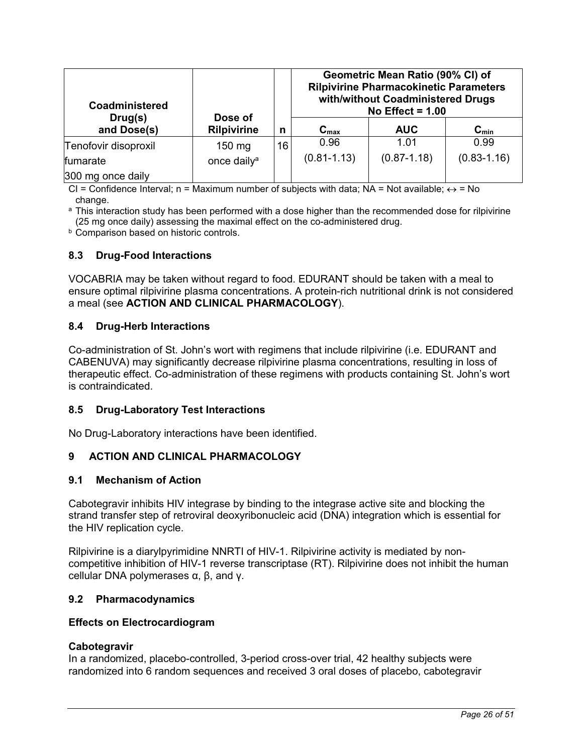<span id="page-25-0"></span>

| <b>Coadministered</b>  | Dose of                 |    |                  | Geometric Mean Ratio (90% CI) of<br><b>Rilpivirine Pharmacokinetic Parameters</b><br>with/without Coadministered Drugs<br>No Effect = $1.00$ |                 |
|------------------------|-------------------------|----|------------------|----------------------------------------------------------------------------------------------------------------------------------------------|-----------------|
| Drug(s)<br>and Dose(s) | <b>Rilpivirine</b>      | n  | $C_{\text{max}}$ | <b>AUC</b>                                                                                                                                   | $C_{min}$       |
| Tenofovir disoproxil   | $150 \text{ mg}$        | 16 | 0.96             | 1.01                                                                                                                                         | 0.99            |
| fumarate               | once daily <sup>a</sup> |    | $(0.81 - 1.13)$  | $(0.87 - 1.18)$                                                                                                                              | $(0.83 - 1.16)$ |
| 300 mg once daily      |                         |    |                  |                                                                                                                                              |                 |

CI = Confidence Interval; n = Maximum number of subjects with data; NA = Not available;  $\leftrightarrow$  = No change.

<sup>a</sup> This interaction study has been performed with a dose higher than the recommended dose for rilpivirine (25 mg once daily) assessing the maximal effect on the co-administered drug.

**b** Comparison based on historic controls.

### **8.3 Drug-Food Interactions**

VOCABRIA may be taken without regard to food. EDURANT should be taken with a meal to ensure optimal rilpivirine plasma concentrations. A protein-rich nutritional drink is not considered a meal (see **ACTION AND CLINICAL PHARMACOLOGY**).

### **8.4 Drug-Herb Interactions**

Co-administration of St. John's wort with regimens that include rilpivirine (i.e. EDURANT and CABENUVA) may significantly decrease rilpivirine plasma concentrations, resulting in loss of therapeutic effect. Co-administration of these regimens with products containing St. John's wort is contraindicated.

#### **8.5 Drug-Laboratory Test Interactions**

No Drug-Laboratory interactions have been identified.

## **9 ACTION AND CLINICAL PHARMACOLOGY**

#### **9.1 Mechanism of Action**

Cabotegravir inhibits HIV integrase by binding to the integrase active site and blocking the strand transfer step of retroviral deoxyribonucleic acid (DNA) integration which is essential for the HIV replication cycle.

Rilpivirine is a diarylpyrimidine NNRTI of HIV-1. Rilpivirine activity is mediated by noncompetitive inhibition of HIV-1 reverse transcriptase (RT). Rilpivirine does not inhibit the human cellular DNA polymerases α, β, and γ.

#### **9.2 Pharmacodynamics**

#### **Effects on Electrocardiogram**

#### **Cabotegravir**

In a randomized, placebo-controlled, 3-period cross-over trial, 42 healthy subjects were randomized into 6 random sequences and received 3 oral doses of placebo, cabotegravir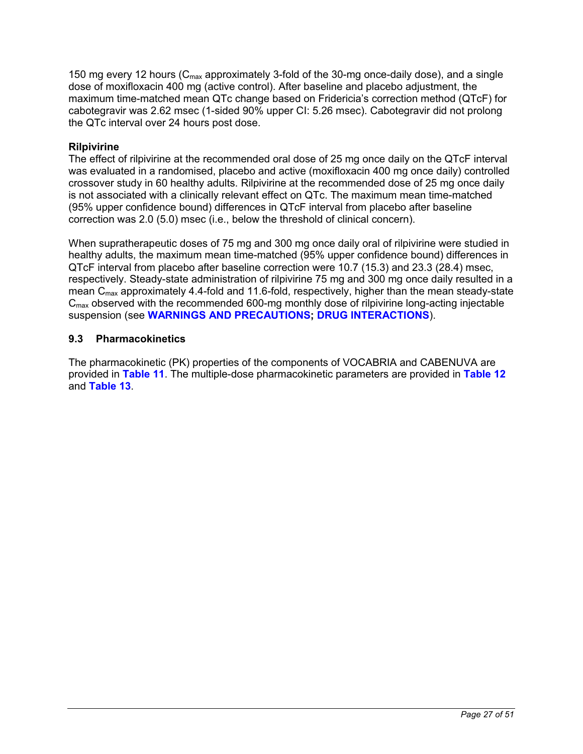<span id="page-26-0"></span>150 mg every 12 hours ( $C_{\text{max}}$  approximately 3-fold of the 30-mg once-daily dose), and a single dose of moxifloxacin 400 mg (active control). After baseline and placebo adjustment, the maximum time-matched mean QTc change based on Fridericia's correction method (QTcF) for cabotegravir was 2.62 msec (1-sided 90% upper CI: 5.26 msec). Cabotegravir did not prolong the QTc interval over 24 hours post dose.

# **Rilpivirine**

The effect of rilpivirine at the recommended oral dose of 25 mg once daily on the QTcF interval was evaluated in a randomised, placebo and active (moxifloxacin 400 mg once daily) controlled crossover study in 60 healthy adults. Rilpivirine at the recommended dose of 25 mg once daily is not associated with a clinically relevant effect on QTc. The maximum mean time-matched (95% upper confidence bound) differences in QTcF interval from placebo after baseline correction was 2.0 (5.0) msec (i.e., below the threshold of clinical concern).

When supratherapeutic doses of 75 mg and 300 mg once daily oral of rilpivirine were studied in healthy adults, the maximum mean time-matched (95% upper confidence bound) differences in QTcF interval from placebo after baseline correction were 10.7 (15.3) and 23.3 (28.4) msec, respectively. Steady-state administration of rilpivirine 75 mg and 300 mg once daily resulted in a mean  $C_{\text{max}}$  approximately 4.4-fold and 11.6-fold, respectively, higher than the mean steady-state  $C<sub>max</sub>$  observed with the recommended 600-mg monthly dose of rilpivirine long-acting injectable suspension (see **[WARNINGS AND PRECAUTIONS](#page-9-0); [DRUG INTERACTIONS](#page-18-0)**).

# **9.3 Pharmacokinetics**

The pharmacokinetic (PK) properties of the components of VOCABRIA and CABENUVA are provided in **[Table 11](#page-27-0)**. The multiple-dose pharmacokinetic parameters are provided in **[Table 12](#page-27-0)** and **[Table 13](#page-28-0)**.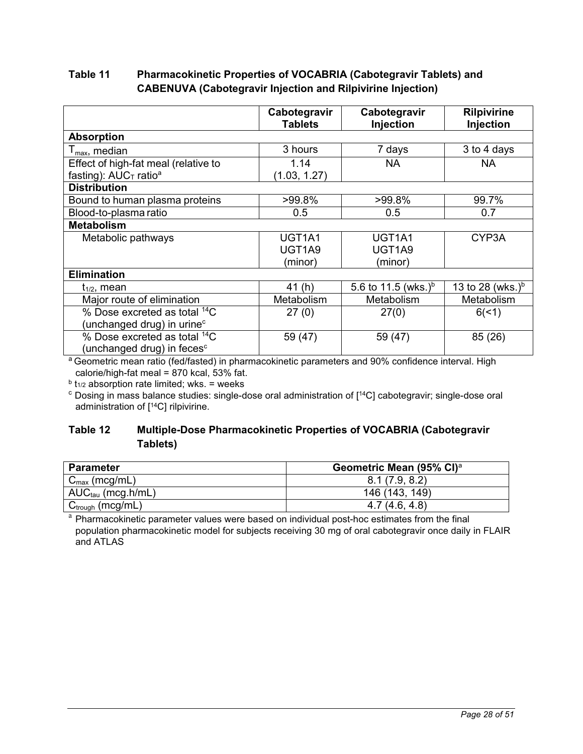# <span id="page-27-0"></span>**Table 11 Pharmacokinetic Properties of VOCABRIA (Cabotegravir Tablets) and CABENUVA (Cabotegravir Injection and Rilpivirine Injection)**

|                                          | Cabotegravir<br><b>Tablets</b> | Cabotegravir<br>Injection       | <b>Rilpivirine</b><br>Injection |
|------------------------------------------|--------------------------------|---------------------------------|---------------------------------|
| <b>Absorption</b>                        |                                |                                 |                                 |
| $I_{\text{max}}$ , median                | 3 hours                        | 7 days                          | 3 to 4 days                     |
| Effect of high-fat meal (relative to     | 1.14                           | <b>NA</b>                       | <b>NA</b>                       |
| fasting): $AUC_T$ ratio <sup>a</sup>     | (1.03, 1.27)                   |                                 |                                 |
| <b>Distribution</b>                      |                                |                                 |                                 |
| Bound to human plasma proteins           | >99.8%                         | >99.8%                          | 99.7%                           |
| Blood-to-plasma ratio                    | 0.5                            | 0.5                             | 0.7                             |
| <b>Metabolism</b>                        |                                |                                 |                                 |
| Metabolic pathways                       | UGT1A1                         | UGT1A1                          | CYP3A                           |
|                                          | UGT1A9                         | UGT1A9                          |                                 |
|                                          | (minor)                        | (minor)                         |                                 |
| <b>Elimination</b>                       |                                |                                 |                                 |
| $t_{1/2}$ , mean                         | 41 (h)                         | 5.6 to 11.5 (wks.) <sup>b</sup> | 13 to 28 (wks.) <sup>b</sup>    |
| Major route of elimination               | Metabolism                     | Metabolism                      | Metabolism                      |
| % Dose excreted as total <sup>14</sup> C | 27(0)                          | 27(0)                           | 6(1)                            |
| (unchanged drug) in urine <sup>c</sup>   |                                |                                 |                                 |
| % Dose excreted as total <sup>14</sup> C | 59 (47)                        | 59 (47)                         | 85 (26)                         |
| (unchanged drug) in feces $c$            |                                |                                 |                                 |

a Geometric mean ratio (fed/fasted) in pharmacokinetic parameters and 90% confidence interval. High calorie/high-fat meal =  $870$  kcal,  $53\%$  fat.

<sup>b</sup> t<sub>1/2</sub> absorption rate limited; wks. = weeks

<sup>c</sup> Dosing in mass balance studies: single-dose oral administration of [<sup>14</sup>C] cabotegravir; single-dose oral administration of [<sup>14</sup>C] rilpivirine.

# **Table 12 Multiple-Dose Pharmacokinetic Properties of VOCABRIA (Cabotegravir Tablets)**

| <b>Parameter</b>          | Geometric Mean (95% CI) <sup>a</sup> |
|---------------------------|--------------------------------------|
| $C_{\text{max}}$ (mcg/mL) | 8.1(7.9, 8.2)                        |
| $AUC_{tau}$ (mcg.h/mL)    | 146 (143, 149)                       |
| $C_{trough}$ (mcg/mL)     | 4.7(4.6, 4.8)                        |

<sup>a</sup> Pharmacokinetic parameter values were based on individual post-hoc estimates from the final population pharmacokinetic model for subjects receiving 30 mg of oral cabotegravir once daily in FLAIR and ATLAS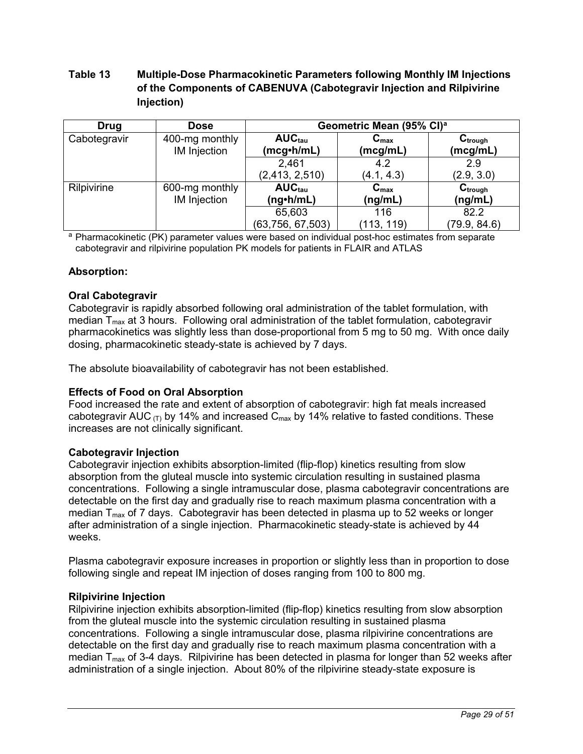# <span id="page-28-0"></span>**Table 13 Multiple-Dose Pharmacokinetic Parameters following Monthly IM Injections of the Components of CABENUVA (Cabotegravir Injection and Rilpivirine Injection)**

| <b>Drug</b>  | <b>Dose</b>                    | Geometric Mean (95% CI) <sup>a</sup>   |                              |                          |  |
|--------------|--------------------------------|----------------------------------------|------------------------------|--------------------------|--|
| Cabotegravir | 400-mg monthly<br>IM Injection | $AUC_{tau}$<br>(mcg <sub>•</sub> h/mL) | $C_{\text{max}}$<br>(mcg/mL) | $C_{trough}$<br>(mcg/mL) |  |
|              |                                | 2,461<br>(2, 413, 2, 510)              | 4.2<br>(4.1, 4.3)            | 2.9<br>(2.9, 3.0)        |  |
| Rilpivirine  | 600-mg monthly<br>IM Injection | $AUC_{tau}$<br>(ng•h/mL)               | $C_{\text{max}}$<br>(ng/mL)  | $C_{trough}$<br>(ng/mL)  |  |
|              |                                | 65,603<br>(63, 756, 67, 503)           | 116<br>(113, 119)            | 82.2<br>(79.9, 84.6)     |  |

<sup>a</sup> Pharmacokinetic (PK) parameter values were based on individual post-hoc estimates from separate cabotegravir and rilpivirine population PK models for patients in FLAIR and ATLAS

## **Absorption:**

## **Oral Cabotegravir**

Cabotegravir is rapidly absorbed following oral administration of the tablet formulation, with median  $T_{\text{max}}$  at 3 hours. Following oral administration of the tablet formulation, cabotegravir pharmacokinetics was slightly less than dose-proportional from 5 mg to 50 mg. With once daily dosing, pharmacokinetic steady-state is achieved by 7 days.

The absolute bioavailability of cabotegravir has not been established.

## **Effects of Food on Oral Absorption**

Food increased the rate and extent of absorption of cabotegravir: high fat meals increased cabotegravir AUC  $(T)$  by 14% and increased C<sub>max</sub> by 14% relative to fasted conditions. These increases are not clinically significant.

#### **Cabotegravir Injection**

Cabotegravir injection exhibits absorption-limited (flip-flop) kinetics resulting from slow absorption from the gluteal muscle into systemic circulation resulting in sustained plasma concentrations. Following a single intramuscular dose, plasma cabotegravir concentrations are detectable on the first day and gradually rise to reach maximum plasma concentration with a median  $T_{\text{max}}$  of 7 days. Cabotegravir has been detected in plasma up to 52 weeks or longer after administration of a single injection. Pharmacokinetic steady-state is achieved by 44 weeks.

Plasma cabotegravir exposure increases in proportion or slightly less than in proportion to dose following single and repeat IM injection of doses ranging from 100 to 800 mg.

## **Rilpivirine Injection**

Rilpivirine injection exhibits absorption-limited (flip-flop) kinetics resulting from slow absorption from the gluteal muscle into the systemic circulation resulting in sustained plasma concentrations. Following a single intramuscular dose, plasma rilpivirine concentrations are detectable on the first day and gradually rise to reach maximum plasma concentration with a median  $T_{\text{max}}$  of 3-4 days. Rilpivirine has been detected in plasma for longer than 52 weeks after administration of a single injection. About 80% of the rilpivirine steady-state exposure is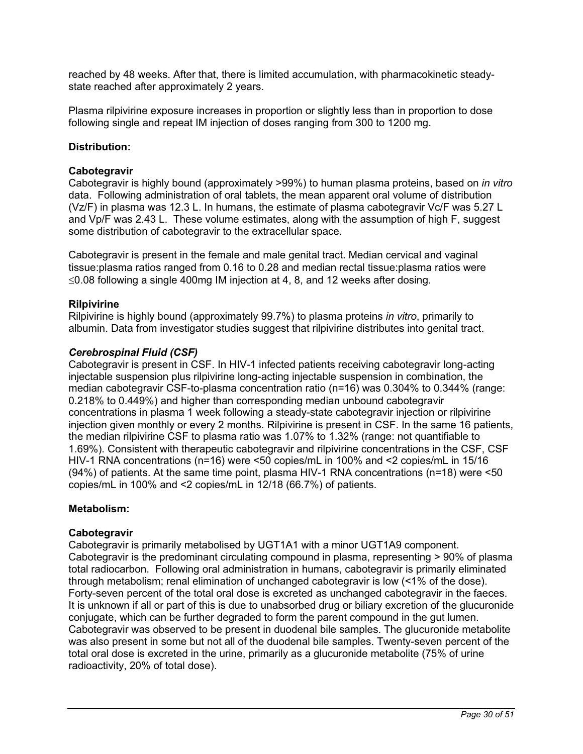reached by 48 weeks. After that, there is limited accumulation, with pharmacokinetic steadystate reached after approximately 2 years.

Plasma rilpivirine exposure increases in proportion or slightly less than in proportion to dose following single and repeat IM injection of doses ranging from 300 to 1200 mg.

## **Distribution:**

### **Cabotegravir**

Cabotegravir is highly bound (approximately >99%) to human plasma proteins, based on *in vitro* data. Following administration of oral tablets, the mean apparent oral volume of distribution (Vz/F) in plasma was 12.3 L. In humans, the estimate of plasma cabotegravir Vc/F was 5.27 L and Vp/F was 2.43 L. These volume estimates, along with the assumption of high F, suggest some distribution of cabotegravir to the extracellular space.

Cabotegravir is present in the female and male genital tract. Median cervical and vaginal tissue:plasma ratios ranged from 0.16 to 0.28 and median rectal tissue:plasma ratios were  $\leq$ 0.08 following a single 400mg IM injection at 4, 8, and 12 weeks after dosing.

### **Rilpivirine**

Rilpivirine is highly bound (approximately 99.7%) to plasma proteins *in vitro*, primarily to albumin. Data from investigator studies suggest that rilpivirine distributes into genital tract.

### *Cerebrospinal Fluid (CSF)*

Cabotegravir is present in CSF. In HIV-1 infected patients receiving cabotegravir long-acting injectable suspension plus rilpivirine long-acting injectable suspension in combination, the median cabotegravir CSF-to-plasma concentration ratio (n=16) was 0.304% to 0.344% (range: 0.218% to 0.449%) and higher than corresponding median unbound cabotegravir concentrations in plasma 1 week following a steady-state cabotegravir injection or rilpivirine injection given monthly or every 2 months. Rilpivirine is present in CSF. In the same 16 patients, the median rilpivirine CSF to plasma ratio was 1.07% to 1.32% (range: not quantifiable to 1.69%). Consistent with therapeutic cabotegravir and rilpivirine concentrations in the CSF, CSF HIV-1 RNA concentrations (n=16) were <50 copies/mL in 100% and <2 copies/mL in 15/16 (94%) of patients. At the same time point, plasma HIV-1 RNA concentrations (n=18) were <50 copies/mL in 100% and <2 copies/mL in 12/18 (66.7%) of patients.

#### **Metabolism:**

#### **Cabotegravir**

Cabotegravir is primarily metabolised by UGT1A1 with a minor UGT1A9 component. Cabotegravir is the predominant circulating compound in plasma, representing > 90% of plasma total radiocarbon. Following oral administration in humans, cabotegravir is primarily eliminated through metabolism; renal elimination of unchanged cabotegravir is low (<1% of the dose). Forty-seven percent of the total oral dose is excreted as unchanged cabotegravir in the faeces. It is unknown if all or part of this is due to unabsorbed drug or biliary excretion of the glucuronide conjugate, which can be further degraded to form the parent compound in the gut lumen. Cabotegravir was observed to be present in duodenal bile samples. The glucuronide metabolite was also present in some but not all of the duodenal bile samples. Twenty-seven percent of the total oral dose is excreted in the urine, primarily as a glucuronide metabolite (75% of urine radioactivity, 20% of total dose).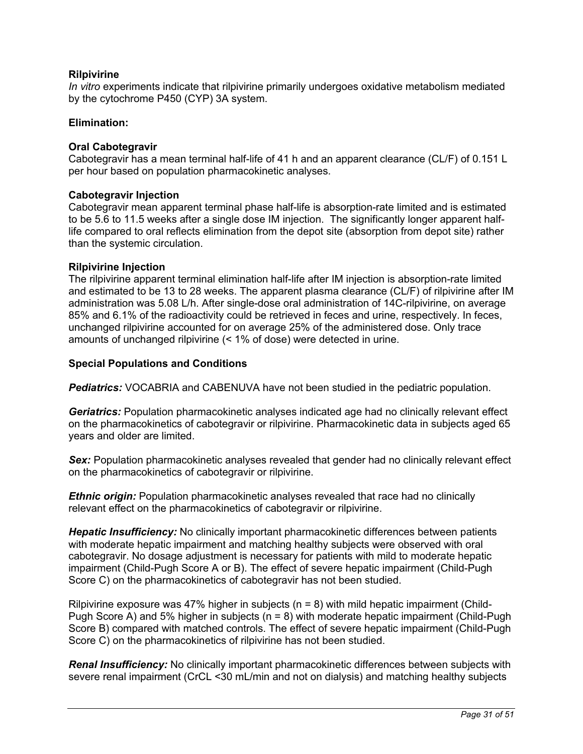## **Rilpivirine**

*In vitro* experiments indicate that rilpivirine primarily undergoes oxidative metabolism mediated by the cytochrome P450 (CYP) 3A system.

#### **Elimination:**

#### **Oral Cabotegravir**

Cabotegravir has a mean terminal half-life of 41 h and an apparent clearance (CL/F) of 0.151 L per hour based on population pharmacokinetic analyses.

#### **Cabotegravir Injection**

Cabotegravir mean apparent terminal phase half-life is absorption-rate limited and is estimated to be 5.6 to 11.5 weeks after a single dose IM injection. The significantly longer apparent halflife compared to oral reflects elimination from the depot site (absorption from depot site) rather than the systemic circulation.

#### **Rilpivirine Injection**

The rilpivirine apparent terminal elimination half-life after IM injection is absorption-rate limited and estimated to be 13 to 28 weeks. The apparent plasma clearance (CL/F) of rilpivirine after IM administration was 5.08 L/h. After single-dose oral administration of 14C-rilpivirine, on average 85% and 6.1% of the radioactivity could be retrieved in feces and urine, respectively. In feces, unchanged rilpivirine accounted for on average 25% of the administered dose. Only trace amounts of unchanged rilpivirine (< 1% of dose) were detected in urine.

### **Special Populations and Conditions**

*Pediatrics:* VOCABRIA and CABENUVA have not been studied in the pediatric population.

*Geriatrics:* Population pharmacokinetic analyses indicated age had no clinically relevant effect on the pharmacokinetics of cabotegravir or rilpivirine. Pharmacokinetic data in subjects aged 65 years and older are limited.

**Sex:** Population pharmacokinetic analyses revealed that gender had no clinically relevant effect on the pharmacokinetics of cabotegravir or rilpivirine.

*Ethnic origin:* Population pharmacokinetic analyses revealed that race had no clinically relevant effect on the pharmacokinetics of cabotegravir or rilpivirine.

*Hepatic Insufficiency:* No clinically important pharmacokinetic differences between patients with moderate hepatic impairment and matching healthy subjects were observed with oral cabotegravir. No dosage adjustment is necessary for patients with mild to moderate hepatic impairment (Child-Pugh Score A or B). The effect of severe hepatic impairment (Child-Pugh Score C) on the pharmacokinetics of cabotegravir has not been studied.

Rilpivirine exposure was 47% higher in subjects ( $n = 8$ ) with mild hepatic impairment (Child-Pugh Score A) and 5% higher in subjects ( $n = 8$ ) with moderate hepatic impairment (Child-Pugh Score B) compared with matched controls. The effect of severe hepatic impairment (Child-Pugh Score C) on the pharmacokinetics of rilpivirine has not been studied.

*Renal Insufficiency:* No clinically important pharmacokinetic differences between subjects with severe renal impairment (CrCL <30 mL/min and not on dialysis) and matching healthy subjects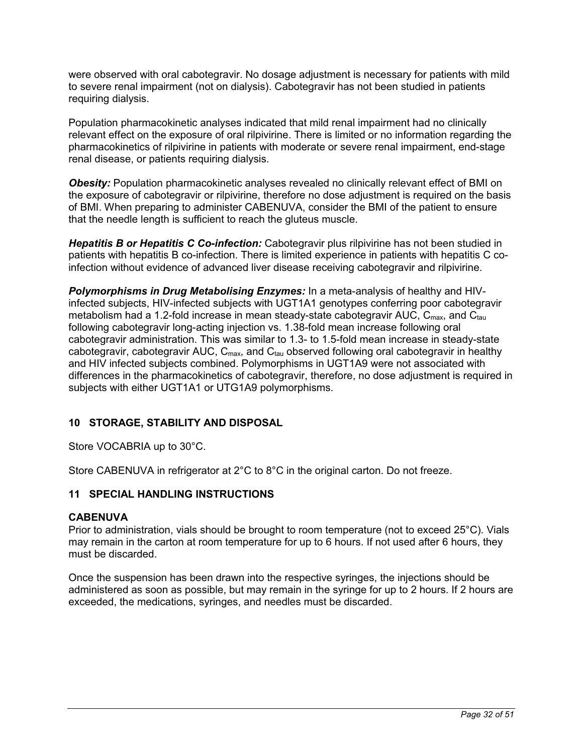<span id="page-31-0"></span>were observed with oral cabotegravir. No dosage adjustment is necessary for patients with mild to severe renal impairment (not on dialysis). Cabotegravir has not been studied in patients requiring dialysis.

Population pharmacokinetic analyses indicated that mild renal impairment had no clinically relevant effect on the exposure of oral rilpivirine. There is limited or no information regarding the pharmacokinetics of rilpivirine in patients with moderate or severe renal impairment, end-stage renal disease, or patients requiring dialysis.

**Obesity:** Population pharmacokinetic analyses revealed no clinically relevant effect of BMI on the exposure of cabotegravir or rilpivirine, therefore no dose adjustment is required on the basis of BMI. When preparing to administer CABENUVA, consider the BMI of the patient to ensure that the needle length is sufficient to reach the gluteus muscle.

*Hepatitis B or Hepatitis C Co-infection:* Cabotegravir plus rilpivirine has not been studied in patients with hepatitis B co-infection. There is limited experience in patients with hepatitis C coinfection without evidence of advanced liver disease receiving cabotegravir and rilpivirine.

*Polymorphisms in Drug Metabolising Enzymes:* In a meta-analysis of healthy and HIVinfected subjects, HIV-infected subjects with UGT1A1 genotypes conferring poor cabotegravir metabolism had a 1.2-fold increase in mean steady-state cabotegravir AUC,  $C_{\text{max}}$ , and  $C_{\text{tau}}$ following cabotegravir long-acting injection vs. 1.38-fold mean increase following oral cabotegravir administration. This was similar to 1.3- to 1.5-fold mean increase in steady-state cabotegravir, cabotegravir AUC,  $C_{\text{max}}$ , and  $C_{\text{tau}}$  observed following oral cabotegravir in healthy and HIV infected subjects combined. Polymorphisms in UGT1A9 were not associated with differences in the pharmacokinetics of cabotegravir, therefore, no dose adjustment is required in subjects with either UGT1A1 or UTG1A9 polymorphisms.

# **10 STORAGE, STABILITY AND DISPOSAL**

Store VOCABRIA up to 30°C.

Store CABENUVA in refrigerator at 2°C to 8°C in the original carton. Do not freeze.

# **11 SPECIAL HANDLING INSTRUCTIONS**

#### **CABENUVA**

Prior to administration, vials should be brought to room temperature (not to exceed 25°C). Vials may remain in the carton at room temperature for up to 6 hours. If not used after 6 hours, they must be discarded.

Once the suspension has been drawn into the respective syringes, the injections should be administered as soon as possible, but may remain in the syringe for up to 2 hours. If 2 hours are exceeded, the medications, syringes, and needles must be discarded.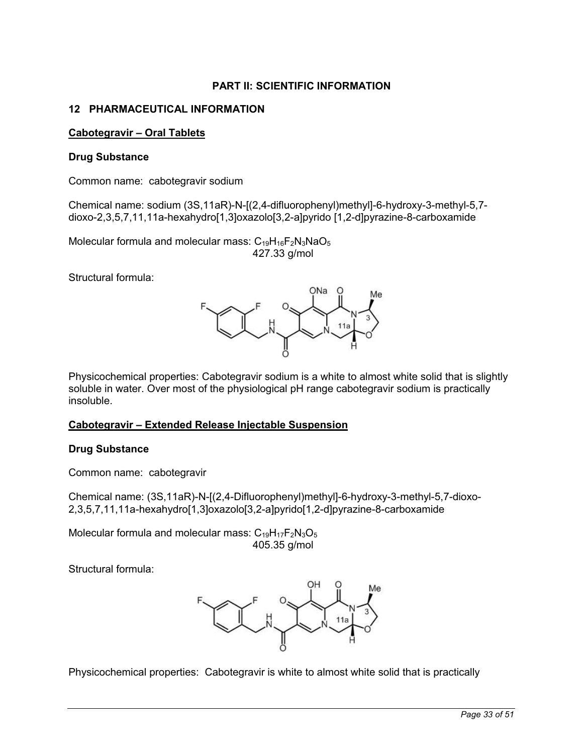# **PART II: SCIENTIFIC INFORMATION**

## <span id="page-32-0"></span>**12 PHARMACEUTICAL INFORMATION**

## **Cabotegravir – Oral Tablets**

#### **Drug Substance**

Common name: cabotegravir sodium

Chemical name: sodium (3S,11aR)-N-[(2,4-difluorophenyl)methyl]-6-hydroxy-3-methyl-5,7 dioxo-2,3,5,7,11,11a-hexahydro[1,3]oxazolo[3,2-a]pyrido [1,2-d]pyrazine-8-carboxamide

Molecular formula and molecular mass:  $C_{19}H_{16}F_2N_3NaO_5$ 427.33 g/mol

Structural formula:



Physicochemical properties: Cabotegravir sodium is a white to almost white solid that is slightly soluble in water. Over most of the physiological pH range cabotegravir sodium is practically insoluble.

#### **Cabotegravir – Extended Release Injectable Suspension**

#### **Drug Substance**

Common name: cabotegravir

Chemical name: (3S,11aR)-N-[(2,4-Difluorophenyl)methyl]-6-hydroxy-3-methyl-5,7-dioxo-2,3,5,7,11,11a-hexahydro[1,3]oxazolo[3,2-a]pyrido[1,2-d]pyrazine-8-carboxamide

Molecular formula and molecular mass:  $C_{19}H_{17}F_2N_3O_5$ 405.35 g/mol

Structural formula:



Physicochemical properties: Cabotegravir is white to almost white solid that is practically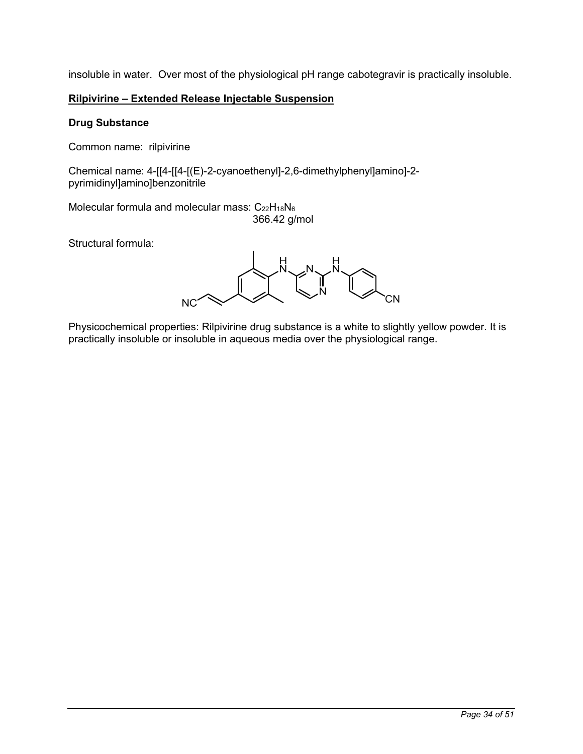insoluble in water. Over most of the physiological pH range cabotegravir is practically insoluble.

# **Rilpivirine – Extended Release Injectable Suspension**

## **Drug Substance**

Common name: rilpivirine

Chemical name: 4-[[4-[[4-[(E)-2-cyanoethenyl]-2,6-dimethylphenyl]amino]-2 pyrimidinyl]amino]benzonitrile

Molecular formula and molecular mass:  $C_{22}H_{18}N_6$ 366.42 g/mol

Structural formula:

**NC** 

Physicochemical properties: Rilpivirine drug substance is a white to slightly yellow powder. It is practically insoluble or insoluble in aqueous media over the physiological range.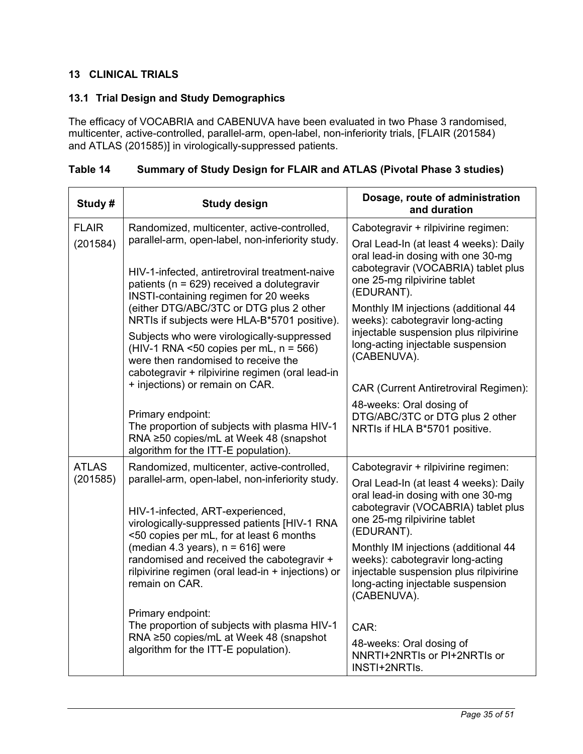# <span id="page-34-0"></span>**13 CLINICAL TRIALS**

# **13.1 Trial Design and Study Demographics**

The efficacy of VOCABRIA and CABENUVA have been evaluated in two Phase 3 randomised, multicenter, active-controlled, parallel-arm, open-label, non-inferiority trials, [FLAIR (201584) and ATLAS (201585)] in virologically-suppressed patients.

| Study#       | <b>Study design</b>                                                                                                                                                                           | Dosage, route of administration<br>and duration                                                                                                                        |
|--------------|-----------------------------------------------------------------------------------------------------------------------------------------------------------------------------------------------|------------------------------------------------------------------------------------------------------------------------------------------------------------------------|
| <b>FLAIR</b> | Randomized, multicenter, active-controlled,                                                                                                                                                   | Cabotegravir + rilpivirine regimen:                                                                                                                                    |
| (201584)     | parallel-arm, open-label, non-inferiority study.<br>HIV-1-infected, antiretroviral treatment-naive<br>patients ( $n = 629$ ) received a dolutegravir<br>INSTI-containing regimen for 20 weeks | Oral Lead-In (at least 4 weeks): Daily<br>oral lead-in dosing with one 30-mg<br>cabotegravir (VOCABRIA) tablet plus<br>one 25-mg rilpivirine tablet<br>(EDURANT).      |
|              | (either DTG/ABC/3TC or DTG plus 2 other<br>NRTIs if subjects were HLA-B*5701 positive).                                                                                                       | Monthly IM injections (additional 44<br>weeks): cabotegravir long-acting                                                                                               |
|              | Subjects who were virologically-suppressed<br>$(HIV-1 RNA < 50 copies per mL, n = 566)$<br>were then randomised to receive the<br>cabotegravir + rilpivirine regimen (oral lead-in            | injectable suspension plus rilpivirine<br>long-acting injectable suspension<br>(CABENUVA).                                                                             |
|              | + injections) or remain on CAR.                                                                                                                                                               | <b>CAR (Current Antiretroviral Regimen):</b>                                                                                                                           |
|              | Primary endpoint:<br>The proportion of subjects with plasma HIV-1<br>RNA ≥50 copies/mL at Week 48 (snapshot<br>algorithm for the ITT-E population).                                           | 48-weeks: Oral dosing of<br>DTG/ABC/3TC or DTG plus 2 other<br>NRTIs if HLA B*5701 positive.                                                                           |
| <b>ATLAS</b> | Randomized, multicenter, active-controlled,                                                                                                                                                   | Cabotegravir + rilpivirine regimen:                                                                                                                                    |
| (201585)     | parallel-arm, open-label, non-inferiority study.<br>HIV-1-infected, ART-experienced,<br>virologically-suppressed patients [HIV-1 RNA<br><50 copies per mL, for at least 6 months              | Oral Lead-In (at least 4 weeks): Daily<br>oral lead-in dosing with one 30-mg<br>cabotegravir (VOCABRIA) tablet plus<br>one 25-mg rilpivirine tablet<br>(EDURANT).      |
|              | (median 4.3 years), $n = 616$ ] were<br>randomised and received the cabotegravir +<br>rilpivirine regimen (oral lead-in + injections) or<br>remain on CAR.                                    | Monthly IM injections (additional 44<br>weeks): cabotegravir long-acting<br>injectable suspension plus rilpivirine<br>long-acting injectable suspension<br>(CABENUVA). |
|              | Primary endpoint:<br>The proportion of subjects with plasma HIV-1<br>RNA ≥50 copies/mL at Week 48 (snapshot<br>algorithm for the ITT-E population).                                           | CAR:<br>48-weeks: Oral dosing of<br>NNRTI+2NRTIs or PI+2NRTIs or                                                                                                       |
|              |                                                                                                                                                                                               | INSTI+2NRTIs.                                                                                                                                                          |

# **Table 14 Summary of Study Design for FLAIR and ATLAS (Pivotal Phase 3 studies)**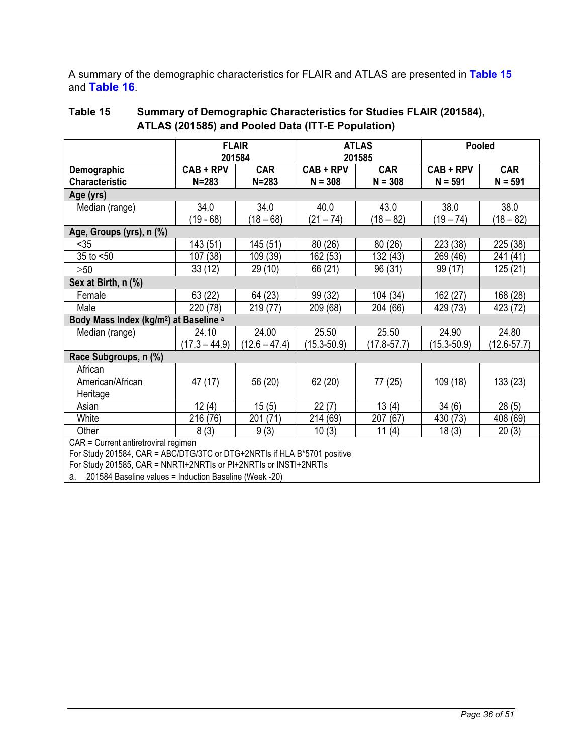<span id="page-35-0"></span>A summary of the demographic characteristics for FLAIR and ATLAS are presented in **[Table 15](#page-35-0)** and **[Table](#page-36-0) 16**.

|                                                                          |                 | <b>FLAIR</b><br>201584 |                 | <b>ATLAS</b><br>201585 | Pooled          |                 |
|--------------------------------------------------------------------------|-----------------|------------------------|-----------------|------------------------|-----------------|-----------------|
| Demographic                                                              | CAB + RPV       | <b>CAR</b>             | $CAB + RPV$     | <b>CAR</b>             | CAB + RPV       | <b>CAR</b>      |
| <b>Characteristic</b>                                                    | $N = 283$       | $N = 283$              | $N = 308$       | $N = 308$              | $N = 591$       | $N = 591$       |
| Age (yrs)                                                                |                 |                        |                 |                        |                 |                 |
| Median (range)                                                           | 34.0            | 34.0                   | 40.0            | 43.0                   | 38.0            | 38.0            |
|                                                                          | $(19 - 68)$     | $(18 - 68)$            | $(21 - 74)$     | $(18 - 82)$            | $(19 - 74)$     | $(18 - 82)$     |
| Age, Groups (yrs), n (%)                                                 |                 |                        |                 |                        |                 |                 |
| $35$                                                                     | 143 (51)        | 145 (51)               | 80(26)          | 80(26)                 | 223 (38)        | 225 (38)        |
| 35 to $<$ 50                                                             | 107 (38)        | 109 (39)               | 162 (53)        | 132 (43)               | 269 (46)        | 241 (41)        |
| $\geq 50$                                                                | 33(12)          | 29(10)                 | 66 (21)         | 96 (31)                | 99 (17)         | 125 (21)        |
| Sex at Birth, n (%)                                                      |                 |                        |                 |                        |                 |                 |
| Female                                                                   | 63 (22)         | 64 (23)                | 99 (32)         | 104 (34)               | 162 (27)        | 168 (28)        |
| Male                                                                     | 220 (78)        | 219 (77)               | 209 (68)        | 204 (66)               | 429 (73)        | 423 (72)        |
| Body Mass Index (kg/m <sup>2</sup> ) at Baseline <sup>a</sup>            |                 |                        |                 |                        |                 |                 |
| Median (range)                                                           | 24.10           | 24.00                  | 25.50           | 25.50                  | 24.90           | 24.80           |
|                                                                          | $(17.3 - 44.9)$ | $(12.6 - 47.4)$        | $(15.3 - 50.9)$ | $(17.8 - 57.7)$        | $(15.3 - 50.9)$ | $(12.6 - 57.7)$ |
| Race Subgroups, n (%)                                                    |                 |                        |                 |                        |                 |                 |
| African                                                                  |                 |                        |                 |                        |                 |                 |
| American/African                                                         | 47 (17)         | 56 (20)                | 62(20)          | 77 (25)                | 109(18)         | 133(23)         |
| Heritage                                                                 |                 |                        |                 |                        |                 |                 |
| Asian                                                                    | 12(4)           | 15(5)                  | 22(7)           | 13(4)                  | 34(6)           | 28(5)           |
| White                                                                    | 216 (76)        | 201 (71)               | 214 (69)        | 207 (67)               | 430 (73)        | 408 (69)        |
| Other                                                                    | 8(3)            | 9(3)                   | 10(3)           | 11(4)                  | 18(3)           | 20(3)           |
| CAR = Current antiretroviral regimen                                     |                 |                        |                 |                        |                 |                 |
| For Study 201584, CAR = ABC/DTG/3TC or DTG+2NRTIs if HLA B*5701 positive |                 |                        |                 |                        |                 |                 |
| For Study 201585, CAR = NNRTI+2NRTIs or PI+2NRTIs or INSTI+2NRTIs        |                 |                        |                 |                        |                 |                 |

# **Table 15 Summary of Demographic Characteristics for Studies FLAIR (201584), ATLAS (201585) and Pooled Data (ITT-E Population)**

a. 201584 Baseline values = Induction Baseline (Week -20)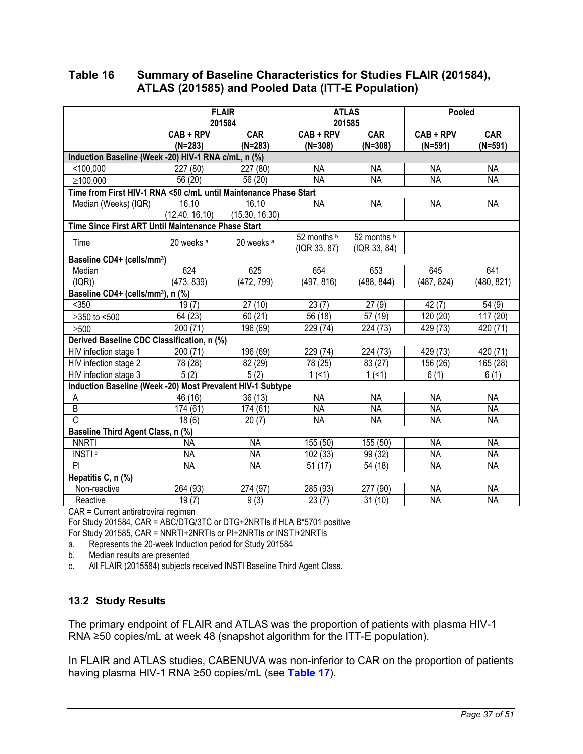## <span id="page-36-0"></span>**Table 16 Summary of Baseline Characteristics for Studies FLAIR (201584), ATLAS (201585) and Pooled Data (ITT-E Population)**

|                                                                  | <b>FLAIR</b><br>201584 |                       |              | <b>ATLAS</b><br>201585 | Pooled     |            |
|------------------------------------------------------------------|------------------------|-----------------------|--------------|------------------------|------------|------------|
|                                                                  | CAB + RPV              | CAR                   | $CAB + RPV$  | CAR                    | CAB + RPV  | CAR        |
|                                                                  | $(N=283)$              | $(N=283)$             | $(N=308)$    | $(N=308)$              | $(N=591)$  | $(N=591)$  |
| Induction Baseline (Week -20) HIV-1 RNA c/mL, n (%)              |                        |                       |              |                        |            |            |
| < 100,000                                                        | 227 (80)               | 227 (80)              | <b>NA</b>    | <b>NA</b>              | <b>NA</b>  | <b>NA</b>  |
| ≥100,000                                                         | 56 (20)                | 56 (20)               | <b>NA</b>    | <b>NA</b>              | <b>NA</b>  | <b>NA</b>  |
| Time from First HIV-1 RNA <50 c/mL until Maintenance Phase Start |                        |                       |              |                        |            |            |
| Median (Weeks) (IQR)                                             | 16.10                  | 16.10                 | <b>NA</b>    | <b>NA</b>              | <b>NA</b>  | <b>NA</b>  |
|                                                                  | (12.40, 16.10)         | (15.30, 16.30)        |              |                        |            |            |
| Time Since First ART Until Maintenance Phase Start               |                        |                       |              |                        |            |            |
| Time                                                             | 20 weeks <sup>a</sup>  | 20 weeks <sup>a</sup> | 52 months b  | 52 months b            |            |            |
|                                                                  |                        |                       | (IQR 33, 87) | (IQR 33, 84)           |            |            |
| Baseline CD4+ (cells/mm <sup>3</sup> )                           |                        |                       |              |                        |            |            |
| Median                                                           | 624                    | 625                   | 654          | 653                    | 645        | 641        |
| (IQR))                                                           | (473, 839)             | (472, 799)            | (497, 816)   | (488, 844)             | (487, 824) | (480, 821) |
| Baseline CD4+ (cells/mm <sup>3</sup> ), n (%)                    |                        |                       |              |                        |            |            |
| $350$                                                            | 19(7)                  | 27(10)                | 23(7)        | 27(9)                  | 42(7)      | 54(9)      |
| $≥350$ to <500                                                   | 64 (23)                | 60(21)                | 56 (18)      | 57 (19)                | 120 (20)   | 117 (20)   |
| $\geq 500$                                                       | 200 (71)               | 196 (69)              | 229 (74)     | 224 (73)               | 429 (73)   | 420 (71)   |
| Derived Baseline CDC Classification, n (%)                       |                        |                       |              |                        |            |            |
| HIV infection stage 1                                            | 200 (71)               | 196 (69)              | 229 (74)     | 224 (73)               | 429 (73)   | 420 (71)   |
| HIV infection stage 2                                            | 78 (28)                | 82 (29)               | 78 (25)      | 83 (27)                | 156 (26)   | 165 (28)   |
| HIV infection stage 3                                            | 5(2)                   | 5(2)                  | 1(51)        | 1(51)                  | 6(1)       | 6(1)       |
| Induction Baseline (Week -20) Most Prevalent HIV-1 Subtype       |                        |                       |              |                        |            |            |
| Α                                                                | 46 (16)                | 36(13)                | <b>NA</b>    | NА                     | <b>NA</b>  | NA         |
| $\overline{B}$                                                   | 174 (61)               | 174 (61)              | <b>NA</b>    | <b>NA</b>              | <b>NA</b>  | <b>NA</b>  |
| C                                                                | 18(6)                  | 20(7)                 | <b>NA</b>    | <b>NA</b>              | <b>NA</b>  | <b>NA</b>  |
| Baseline Third Agent Class, n (%)                                |                        |                       |              |                        |            |            |
| <b>NNRTI</b>                                                     | <b>NA</b>              | <b>NA</b>             | 155 (50)     | 155 (50)               | <b>NA</b>  | <b>NA</b>  |
| INSTI <sup>c</sup>                                               | <b>NA</b>              | <b>NA</b>             | 102 (33)     | 99 (32)                | <b>NA</b>  | <b>NA</b>  |
| PI                                                               | <b>NA</b>              | <b>NA</b>             | 51(17)       | 54 (18)                | <b>NA</b>  | <b>NA</b>  |
| Hepatitis C, n (%)                                               |                        |                       |              |                        |            |            |
| Non-reactive                                                     | 264 (93)               | 274 (97)              | 285(93)      | 277 (90)               | <b>NA</b>  | <b>NA</b>  |
| Reactive                                                         | 19(7)                  | 9(3)                  | 23(7)        | 31(10)                 | <b>NA</b>  | <b>NA</b>  |

CAR = Current antiretroviral regimen

For Study 201584, CAR = ABC/DTG/3TC or DTG+2NRTIs if HLA B\*5701 positive

For Study 201585, CAR = NNRTI+2NRTIs or PI+2NRTIs or INSTI+2NRTIs

a. Represents the 20-week Induction period for Study 201584

b. Median results are presented

c. All FLAIR (2015584) subjects received INSTI Baseline Third Agent Class.

# **13.2 Study Results**

The primary endpoint of FLAIR and ATLAS was the proportion of patients with plasma HIV-1 RNA ≥50 copies/mL at week 48 (snapshot algorithm for the ITT-E population).

In FLAIR and ATLAS studies, CABENUVA was non-inferior to CAR on the proportion of patients having plasma HIV-1 RNA ≥50 copies/mL (see **[Table 17](#page-37-0)**).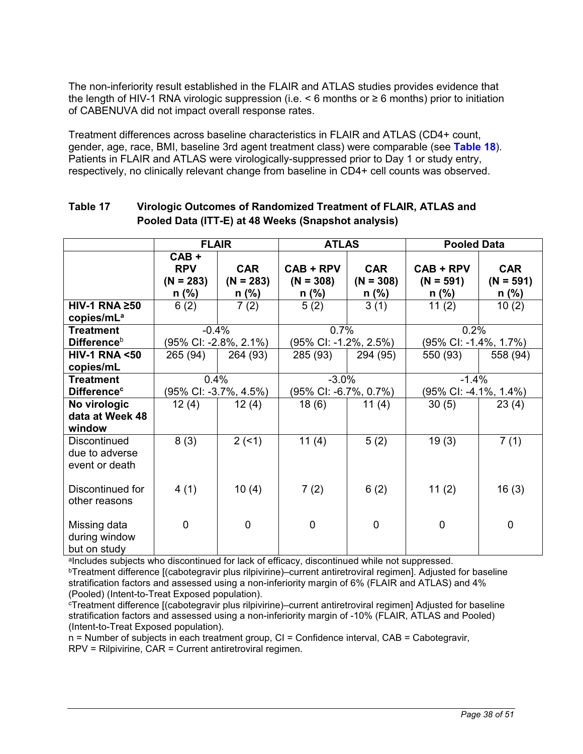<span id="page-37-0"></span>The non-inferiority result established in the FLAIR and ATLAS studies provides evidence that the length of HIV-1 RNA virologic suppression (i.e. < 6 months or ≥ 6 months) prior to initiation of CABENUVA did not impact overall response rates.

Treatment differences across baseline characteristics in FLAIR and ATLAS (CD4+ count, gender, age, race, BMI, baseline 3rd agent treatment class) were comparable (see **[Table 18](#page-38-0)**). Patients in FLAIR and ATLAS were virologically-suppressed prior to Day 1 or study entry, respectively, no clinically relevant change from baseline in CD4+ cell counts was observed.

|                                                         | <b>FLAIR</b>                                  |                                      | <b>ATLAS</b>                          |                                      | <b>Pooled Data</b>                    |                                    |  |
|---------------------------------------------------------|-----------------------------------------------|--------------------------------------|---------------------------------------|--------------------------------------|---------------------------------------|------------------------------------|--|
|                                                         | $CAB +$<br><b>RPV</b><br>$(N = 283)$<br>n (%) | <b>CAR</b><br>$(N = 283)$<br>$n$ (%) | $CAB + RPV$<br>$(N = 308)$<br>$n$ (%) | <b>CAR</b><br>$(N = 308)$<br>$n$ (%) | $CAB + RPV$<br>$(N = 591)$<br>$n$ (%) | <b>CAR</b><br>$(N = 591)$<br>n (%) |  |
| $HIV-1$ RNA $\geq 50$<br>copies/mL <sup>a</sup>         | 6(2)                                          | 7(2)                                 | 5(2)                                  | 3(1)                                 | 11(2)                                 | 10(2)                              |  |
| <b>Treatment</b><br><b>Difference</b> b                 | $-0.4%$                                       | (95% CI: -2.8%, 2.1%)                | 0.7%<br>(95% CI: -1.2%, 2.5%)         |                                      | 0.2%<br>(95% CI: -1.4%, 1.7%)         |                                    |  |
| <b>HIV-1 RNA &lt;50</b><br>copies/mL                    | 265 (94)                                      | 264 (93)                             | 285 (93)                              | 294 (95)                             | 550 (93)                              | 558 (94)                           |  |
| <b>Treatment</b><br><b>Difference<sup>c</sup></b>       |                                               | 0.4%<br>(95% CI: -3.7%, 4.5%)        |                                       | $-3.0%$<br>(95% CI: -6.7%, 0.7%)     |                                       | $-1.4%$<br>(95% CI: -4.1%, 1.4%)   |  |
| No virologic<br>data at Week 48<br>window               | 12(4)                                         | 12(4)                                | 18(6)                                 | 11 $(4)$                             | 30(5)                                 | 23(4)                              |  |
| <b>Discontinued</b><br>due to adverse<br>event or death | 8(3)                                          | 2(51)                                | 11(4)                                 | 5(2)                                 | 19(3)                                 | 7(1)                               |  |
| Discontinued for<br>other reasons                       | 4(1)                                          | 10(4)                                | 7(2)                                  | 6(2)                                 | 11 $(2)$                              | 16(3)                              |  |
| Missing data<br>during window<br>but on study           | 0                                             | $\overline{0}$                       | $\mathbf 0$                           | $\mathbf 0$                          | $\mathbf 0$                           | $\overline{0}$                     |  |

# **Table 17 Virologic Outcomes of Randomized Treatment of FLAIR, ATLAS and Pooled Data (ITT-E) at 48 Weeks (Snapshot analysis)**

alncludes subjects who discontinued for lack of efficacy, discontinued while not suppressed.

<sup>b</sup>Treatment difference [(cabotegravir plus rilpivirine)–current antiretroviral regimen]. Adjusted for baseline stratification factors and assessed using a non-inferiority margin of 6% (FLAIR and ATLAS) and 4% (Pooled) (Intent-to-Treat Exposed population).

<sup>c</sup>Treatment difference [(cabotegravir plus rilpivirine)–current antiretroviral regimen] Adjusted for baseline stratification factors and assessed using a non-inferiority margin of -10% (FLAIR, ATLAS and Pooled) (Intent-to-Treat Exposed population).

n = Number of subjects in each treatment group, CI = Confidence interval, CAB = Cabotegravir, RPV = Rilpivirine, CAR = Current antiretroviral regimen.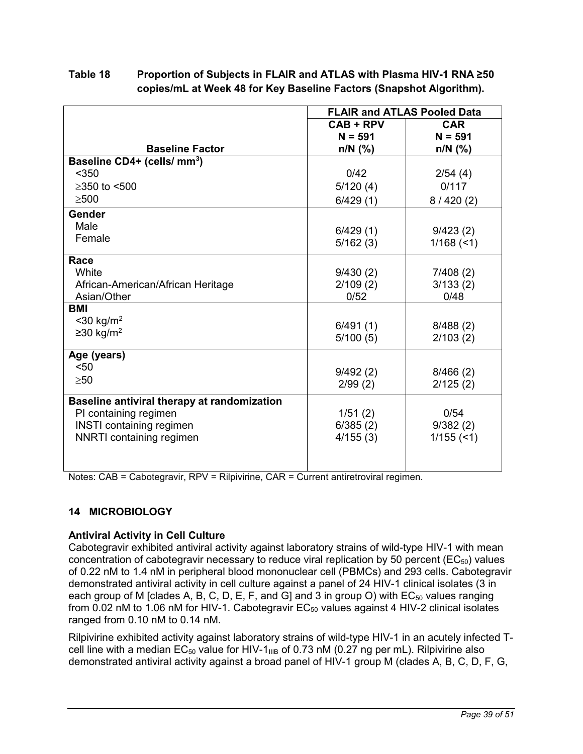# <span id="page-38-0"></span>**Table 18 Proportion of Subjects in FLAIR and ATLAS with Plasma HIV-1 RNA ≥50 copies/mL at Week 48 for Key Baseline Factors (Snapshot Algorithm).**

|                                             | <b>FLAIR and ATLAS Pooled Data</b> |              |
|---------------------------------------------|------------------------------------|--------------|
|                                             | $CAB + RPV$                        | <b>CAR</b>   |
|                                             | $N = 591$                          | $N = 591$    |
| <b>Baseline Factor</b>                      | $n/N$ (%)                          | $n/N$ (%)    |
| Baseline CD4+ (cells/ mm <sup>3</sup> )     |                                    |              |
| $<$ 350                                     | 0/42                               | 2/54(4)      |
| ≥350 to <500                                | 5/120(4)                           | 0/117        |
| $\geq 500$                                  | 6/429(1)                           | 8/420(2)     |
| Gender                                      |                                    |              |
| Male                                        | 6/429(1)                           | 9/423(2)     |
| Female                                      | 5/162(3)                           | $1/168$ (<1) |
| Race                                        |                                    |              |
| White                                       | 9/430(2)                           | 7/408(2)     |
| African-American/African Heritage           | 2/109(2)                           | 3/133(2)     |
| Asian/Other                                 | 0/52                               | 0/48         |
| <b>BMI</b>                                  |                                    |              |
| $<$ 30 kg/m <sup>2</sup>                    | 6/491(1)                           | 8/488(2)     |
| $≥30$ kg/m <sup>2</sup>                     | 5/100(5)                           | 2/103(2)     |
| Age (years)                                 |                                    |              |
| $50$                                        | 9/492(2)                           | 8/466(2)     |
| >50                                         | 2/99(2)                            | 2/125(2)     |
| Baseline antiviral therapy at randomization |                                    |              |
| PI containing regimen                       | 1/51(2)                            | 0/54         |
| <b>INSTI</b> containing regimen             | 6/385(2)                           | 9/382(2)     |
| <b>NNRTI</b> containing regimen             | 4/155(3)                           | $1/155$ (<1) |
|                                             |                                    |              |
|                                             |                                    |              |

Notes: CAB = Cabotegravir, RPV = Rilpivirine, CAR = Current antiretroviral regimen.

# **14 MICROBIOLOGY**

# **Antiviral Activity in Cell Culture**

Cabotegravir exhibited antiviral activity against laboratory strains of wild-type HIV-1 with mean concentration of cabotegravir necessary to reduce viral replication by 50 percent ( $EC_{50}$ ) values of 0.22 nM to 1.4 nM in peripheral blood mononuclear cell (PBMCs) and 293 cells. Cabotegravir demonstrated antiviral activity in cell culture against a panel of 24 HIV-1 clinical isolates (3 in each group of M [clades A, B, C, D, E, F, and G] and 3 in group O) with  $EC_{50}$  values ranging from  $0.02$  nM to 1.06 nM for HIV-1. Cabotegravir  $EC_{50}$  values against 4 HIV-2 clinical isolates ranged from 0.10 nM to 0.14 nM.

Rilpivirine exhibited activity against laboratory strains of wild-type HIV-1 in an acutely infected Tcell line with a median  $EC_{50}$  value for HIV-1<sub>IIIB</sub> of 0.73 nM (0.27 ng per mL). Rilpivirine also demonstrated antiviral activity against a broad panel of HIV-1 group M (clades A, B, C, D, F, G,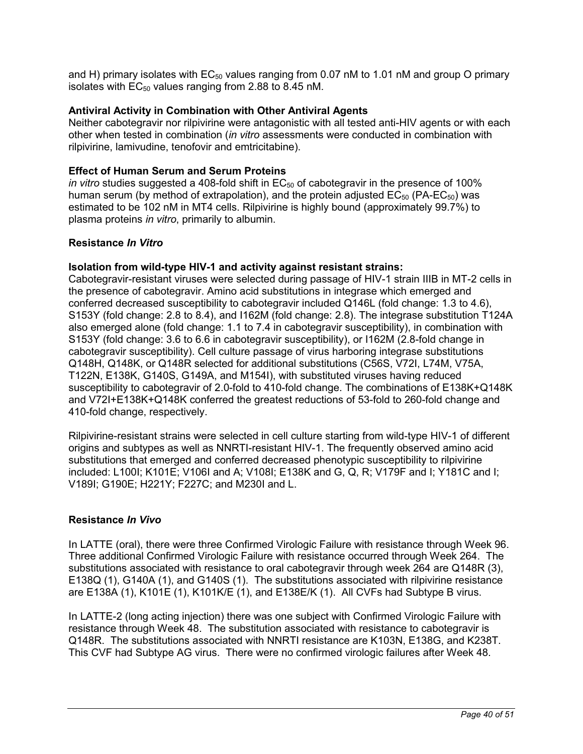and H) primary isolates with  $EC_{50}$  values ranging from 0.07 nM to 1.01 nM and group O primary isolates with  $EC_{50}$  values ranging from 2.88 to 8.45 nM.

### **Antiviral Activity in Combination with Other Antiviral Agents**

Neither cabotegravir nor rilpivirine were antagonistic with all tested anti-HIV agents or with each other when tested in combination (*in vitro* assessments were conducted in combination with rilpivirine, lamivudine, tenofovir and emtricitabine).

### **Effect of Human Serum and Serum Proteins**

*in vitro* studies suggested a 408-fold shift in EC<sub>50</sub> of cabotegravir in the presence of 100% human serum (by method of extrapolation), and the protein adjusted  $EC_{50}$  (PA-EC<sub>50</sub>) was estimated to be 102 nM in MT4 cells. Rilpivirine is highly bound (approximately 99.7%) to plasma proteins *in vitro*, primarily to albumin.

#### **Resistance** *In Vitro*

### **Isolation from wild-type HIV-1 and activity against resistant strains:**

Cabotegravir-resistant viruses were selected during passage of HIV-1 strain IIIB in MT-2 cells in the presence of cabotegravir. Amino acid substitutions in integrase which emerged and conferred decreased susceptibility to cabotegravir included Q146L (fold change: 1.3 to 4.6), S153Y (fold change: 2.8 to 8.4), and I162M (fold change: 2.8). The integrase substitution T124A also emerged alone (fold change: 1.1 to 7.4 in cabotegravir susceptibility), in combination with S153Y (fold change: 3.6 to 6.6 in cabotegravir susceptibility), or I162M (2.8-fold change in cabotegravir susceptibility). Cell culture passage of virus harboring integrase substitutions Q148H, Q148K, or Q148R selected for additional substitutions (C56S, V72I, L74M, V75A, T122N, E138K, G140S, G149A, and M154I), with substituted viruses having reduced susceptibility to cabotegravir of 2.0-fold to 410-fold change. The combinations of E138K+Q148K and V72I+E138K+Q148K conferred the greatest reductions of 53-fold to 260-fold change and 410-fold change, respectively.

Rilpivirine-resistant strains were selected in cell culture starting from wild-type HIV-1 of different origins and subtypes as well as NNRTI-resistant HIV-1. The frequently observed amino acid substitutions that emerged and conferred decreased phenotypic susceptibility to rilpivirine included: L100I; K101E; V106I and A; V108I; E138K and G, Q, R; V179F and I; Y181C and I; V189I; G190E; H221Y; F227C; and M230I and L.

#### **Resistance** *In Vivo*

In LATTE (oral), there were three Confirmed Virologic Failure with resistance through Week 96. Three additional Confirmed Virologic Failure with resistance occurred through Week 264. The substitutions associated with resistance to oral cabotegravir through week 264 are Q148R (3), E138Q (1), G140A (1), and G140S (1). The substitutions associated with rilpivirine resistance are E138A (1), K101E (1), K101K/E (1), and E138E/K (1). All CVFs had Subtype B virus.

In LATTE-2 (long acting injection) there was one subject with Confirmed Virologic Failure with resistance through Week 48. The substitution associated with resistance to cabotegravir is Q148R. The substitutions associated with NNRTI resistance are K103N, E138G, and K238T. This CVF had Subtype AG virus. There were no confirmed virologic failures after Week 48.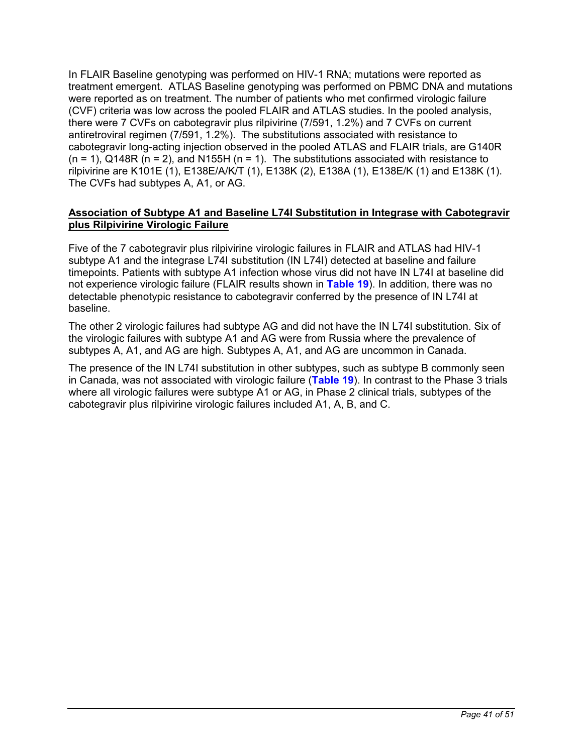In FLAIR Baseline genotyping was performed on HIV-1 RNA; mutations were reported as treatment emergent. ATLAS Baseline genotyping was performed on PBMC DNA and mutations were reported as on treatment. The number of patients who met confirmed virologic failure (CVF) criteria was low across the pooled FLAIR and ATLAS studies. In the pooled analysis, there were 7 CVFs on cabotegravir plus rilpivirine (7/591, 1.2%) and 7 CVFs on current antiretroviral regimen (7/591, 1.2%). The substitutions associated with resistance to cabotegravir long-acting injection observed in the pooled ATLAS and FLAIR trials, are G140R  $(n = 1)$ , Q148R  $(n = 2)$ , and N155H  $(n = 1)$ . The substitutions associated with resistance to rilpivirine are K101E (1), E138E/A/K/T (1), E138K (2), E138A (1), E138E/K (1) and E138K (1). The CVFs had subtypes A, A1, or AG.

### **Association of Subtype A1 and Baseline L74I Substitution in Integrase with Cabotegravir plus Rilpivirine Virologic Failure**

Five of the 7 cabotegravir plus rilpivirine virologic failures in FLAIR and ATLAS had HIV-1 subtype A1 and the integrase L74I substitution (IN L74I) detected at baseline and failure timepoints. Patients with subtype A1 infection whose virus did not have IN L74I at baseline did not experience virologic failure (FLAIR results shown in **[Table 19](#page-41-0)**). In addition, there was no detectable phenotypic resistance to cabotegravir conferred by the presence of IN L74I at baseline.

The other 2 virologic failures had subtype AG and did not have the IN L74I substitution. Six of the virologic failures with subtype A1 and AG were from Russia where the prevalence of subtypes A, A1, and AG are high. Subtypes A, A1, and AG are uncommon in Canada.

The presence of the IN L74I substitution in other subtypes, such as subtype B commonly seen in Canada, was not associated with virologic failure (**[Table 19](#page-41-0)**). In contrast to the Phase 3 trials where all virologic failures were subtype A1 or AG, in Phase 2 clinical trials, subtypes of the cabotegravir plus rilpivirine virologic failures included A1, A, B, and C.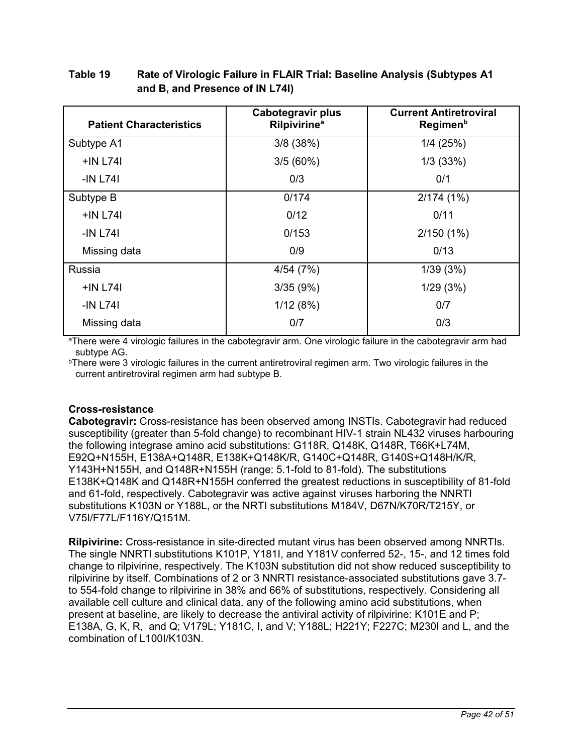| <b>Patient Characteristics</b> | Cabotegravir plus<br><b>Rilpivirine<sup>a</sup></b> | <b>Current Antiretroviral</b><br>Regimen <sup>b</sup> |
|--------------------------------|-----------------------------------------------------|-------------------------------------------------------|
| Subtype A1                     | 3/8(38%)                                            | 1/4(25%)                                              |
| $+IN$ L74I                     | 3/5(60%)                                            | 1/3(33%)                                              |
| -IN L741                       | 0/3                                                 | 0/1                                                   |
| Subtype B                      | 0/174                                               | 2/174(1%)                                             |
| $+IN$ L74I                     | 0/12                                                | 0/11                                                  |
| $-IN$ L74 $I$                  | 0/153                                               | $2/150(1\%)$                                          |
| Missing data                   | 0/9                                                 | 0/13                                                  |
| Russia                         | 4/54(7%)                                            | 1/39(3%)                                              |
| $+IN$ L74I                     | 3/35(9%)                                            | 1/29(3%)                                              |
| $-IN L74I$                     | 1/12(8%)                                            | 0/7                                                   |
| Missing data                   | 0/7                                                 | 0/3                                                   |

# <span id="page-41-0"></span>**Table 19 Rate of Virologic Failure in FLAIR Trial: Baseline Analysis (Subtypes A1 and B, and Presence of IN L74I)**

<sup>a</sup>There were 4 virologic failures in the cabotegravir arm. One virologic failure in the cabotegravir arm had subtype AG.

**bThere were 3 virologic failures in the current antiretroviral regimen arm. Two virologic failures in the** current antiretroviral regimen arm had subtype B.

# **Cross-resistance**

**Cabotegravir:** Cross-resistance has been observed among INSTIs. Cabotegravir had reduced susceptibility (greater than 5-fold change) to recombinant HIV-1 strain NL432 viruses harbouring the following integrase amino acid substitutions: G118R, Q148K, Q148R, T66K+L74M, E92Q+N155H, E138A+Q148R, E138K+Q148K/R, G140C+Q148R, G140S+Q148H/K/R, Y143H+N155H, and Q148R+N155H (range: 5.1-fold to 81-fold). The substitutions E138K+Q148K and Q148R+N155H conferred the greatest reductions in susceptibility of 81-fold and 61-fold, respectively. Cabotegravir was active against viruses harboring the NNRTI substitutions K103N or Y188L, or the NRTI substitutions M184V, D67N/K70R/T215Y, or V75I/F77L/F116Y/Q151M.

**Rilpivirine:** Cross-resistance in site-directed mutant virus has been observed among NNRTIs. The single NNRTI substitutions K101P, Y181I, and Y181V conferred 52-, 15-, and 12 times fold change to rilpivirine, respectively. The K103N substitution did not show reduced susceptibility to rilpivirine by itself. Combinations of 2 or 3 NNRTI resistance-associated substitutions gave 3.7 to 554-fold change to rilpivirine in 38% and 66% of substitutions, respectively. Considering all available cell culture and clinical data, any of the following amino acid substitutions, when present at baseline, are likely to decrease the antiviral activity of rilpivirine: K101E and P; E138A, G, K, R, and Q; V179L; Y181C, I, and V; Y188L; H221Y; F227C; M230I and L, and the combination of L100I/K103N.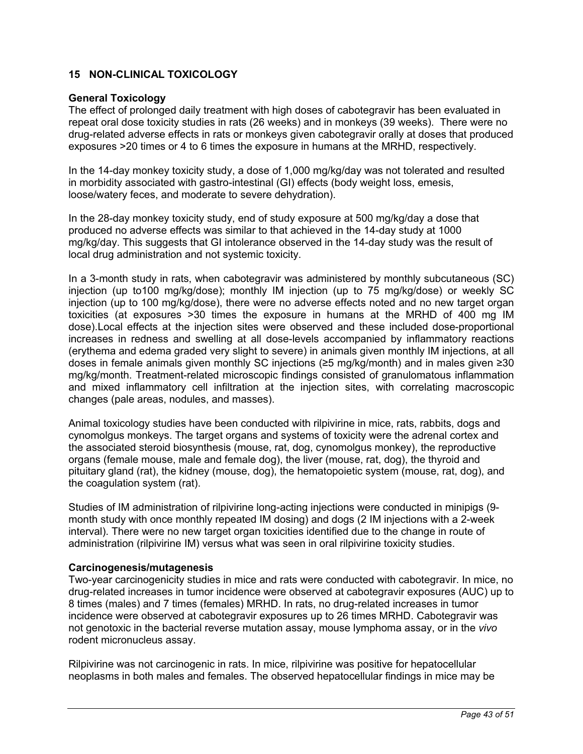## <span id="page-42-0"></span>**15 NON-CLINICAL TOXICOLOGY**

### **General Toxicology**

The effect of prolonged daily treatment with high doses of cabotegravir has been evaluated in repeat oral dose toxicity studies in rats (26 weeks) and in monkeys (39 weeks). There were no drug-related adverse effects in rats or monkeys given cabotegravir orally at doses that produced exposures >20 times or 4 to 6 times the exposure in humans at the MRHD, respectively.

In the 14-day monkey toxicity study, a dose of 1,000 mg/kg/day was not tolerated and resulted in morbidity associated with gastro-intestinal (GI) effects (body weight loss, emesis, loose/watery feces, and moderate to severe dehydration).

In the 28-day monkey toxicity study, end of study exposure at 500 mg/kg/day a dose that produced no adverse effects was similar to that achieved in the 14-day study at 1000 mg/kg/day. This suggests that GI intolerance observed in the 14-day study was the result of local drug administration and not systemic toxicity.

In a 3-month study in rats, when cabotegravir was administered by monthly subcutaneous (SC) injection (up to100 mg/kg/dose); monthly IM injection (up to 75 mg/kg/dose) or weekly SC injection (up to 100 mg/kg/dose), there were no adverse effects noted and no new target organ toxicities (at exposures >30 times the exposure in humans at the MRHD of 400 mg IM dose).Local effects at the injection sites were observed and these included dose-proportional increases in redness and swelling at all dose-levels accompanied by inflammatory reactions (erythema and edema graded very slight to severe) in animals given monthly IM injections, at all doses in female animals given monthly SC injections (≥5 mg/kg/month) and in males given ≥30 mg/kg/month. Treatment-related microscopic findings consisted of granulomatous inflammation and mixed inflammatory cell infiltration at the injection sites, with correlating macroscopic changes (pale areas, nodules, and masses).

Animal toxicology studies have been conducted with rilpivirine in mice, rats, rabbits, dogs and cynomolgus monkeys. The target organs and systems of toxicity were the adrenal cortex and the associated steroid biosynthesis (mouse, rat, dog, cynomolgus monkey), the reproductive organs (female mouse, male and female dog), the liver (mouse, rat, dog), the thyroid and pituitary gland (rat), the kidney (mouse, dog), the hematopoietic system (mouse, rat, dog), and the coagulation system (rat).

Studies of IM administration of rilpivirine long-acting injections were conducted in minipigs (9 month study with once monthly repeated IM dosing) and dogs (2 IM injections with a 2-week interval). There were no new target organ toxicities identified due to the change in route of administration (rilpivirine IM) versus what was seen in oral rilpivirine toxicity studies.

#### **Carcinogenesis/mutagenesis**

Two-year carcinogenicity studies in mice and rats were conducted with cabotegravir. In mice, no drug-related increases in tumor incidence were observed at cabotegravir exposures (AUC) up to 8 times (males) and 7 times (females) MRHD. In rats, no drug-related increases in tumor incidence were observed at cabotegravir exposures up to 26 times MRHD. Cabotegravir was not genotoxic in the bacterial reverse mutation assay, mouse lymphoma assay, or in the *vivo* rodent micronucleus assay.

Rilpivirine was not carcinogenic in rats. In mice, rilpivirine was positive for hepatocellular neoplasms in both males and females. The observed hepatocellular findings in mice may be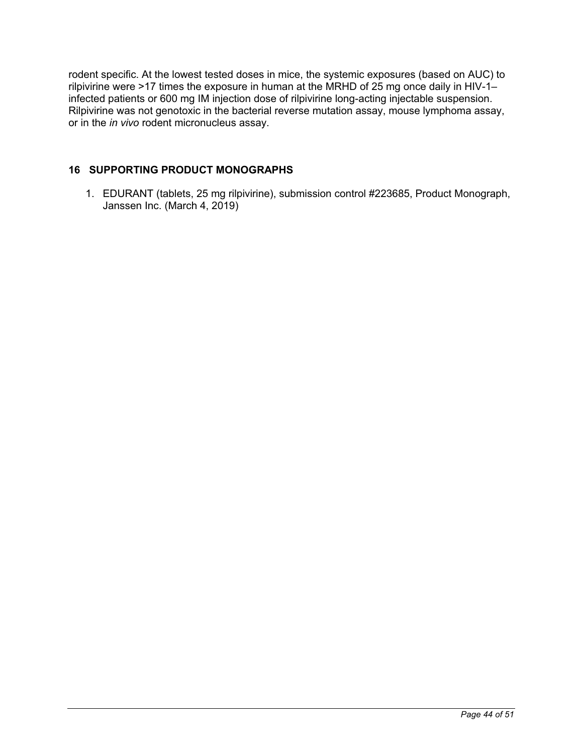<span id="page-43-0"></span>rodent specific. At the lowest tested doses in mice, the systemic exposures (based on AUC) to rilpivirine were >17 times the exposure in human at the MRHD of 25 mg once daily in HIV-1– infected patients or 600 mg IM injection dose of rilpivirine long-acting injectable suspension. Rilpivirine was not genotoxic in the bacterial reverse mutation assay, mouse lymphoma assay, or in the *in vivo* rodent micronucleus assay.

# **16 SUPPORTING PRODUCT MONOGRAPHS**

1. EDURANT (tablets, 25 mg rilpivirine), submission control #223685, Product Monograph, Janssen Inc. (March 4, 2019)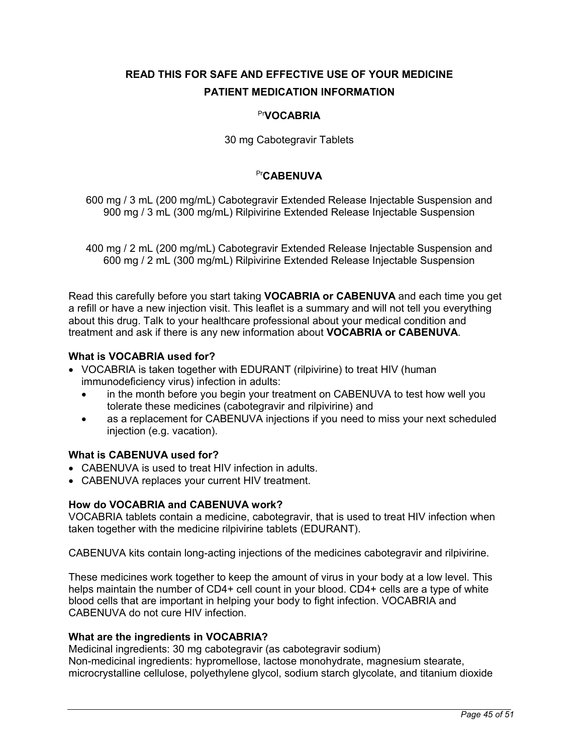# <span id="page-44-0"></span>**READ THIS FOR SAFE AND EFFECTIVE USE OF YOUR MEDICINE PATIENT MEDICATION INFORMATION**

# Pr**VOCABRIA**

30 mg Cabotegravir Tablets

## Pr**CABENUVA**

600 mg / 3 mL (200 mg/mL) Cabotegravir Extended Release Injectable Suspension and 900 mg / 3 mL (300 mg/mL) Rilpivirine Extended Release Injectable Suspension

400 mg / 2 mL (200 mg/mL) Cabotegravir Extended Release Injectable Suspension and 600 mg / 2 mL (300 mg/mL) Rilpivirine Extended Release Injectable Suspension

Read this carefully before you start taking **VOCABRIA or CABENUVA** and each time you get a refill or have a new injection visit. This leaflet is a summary and will not tell you everything about this drug. Talk to your healthcare professional about your medical condition and treatment and ask if there is any new information about **VOCABRIA or CABENUVA**.

# **What is VOCABRIA used for?**

- VOCABRIA is taken together with EDURANT (rilpivirine) to treat HIV (human immunodeficiency virus) infection in adults:
	- in the month before you begin your treatment on CABENUVA to test how well you tolerate these medicines (cabotegravir and rilpivirine) and
	- as a replacement for CABENUVA injections if you need to miss your next scheduled injection (e.g. vacation).

## **What is CABENUVA used for?**

- CABENUVA is used to treat HIV infection in adults.
- CABENUVA replaces your current HIV treatment.

## **How do VOCABRIA and CABENUVA work?**

VOCABRIA tablets contain a medicine, cabotegravir, that is used to treat HIV infection when taken together with the medicine rilpivirine tablets (EDURANT).

CABENUVA kits contain long-acting injections of the medicines cabotegravir and rilpivirine.

These medicines work together to keep the amount of virus in your body at a low level. This helps maintain the number of CD4+ cell count in your blood. CD4+ cells are a type of white blood cells that are important in helping your body to fight infection. VOCABRIA and CABENUVA do not cure HIV infection.

## **What are the ingredients in VOCABRIA?**

Medicinal ingredients: 30 mg cabotegravir (as cabotegravir sodium) Non-medicinal ingredients: hypromellose, lactose monohydrate, magnesium stearate, microcrystalline cellulose, polyethylene glycol, sodium starch glycolate, and titanium dioxide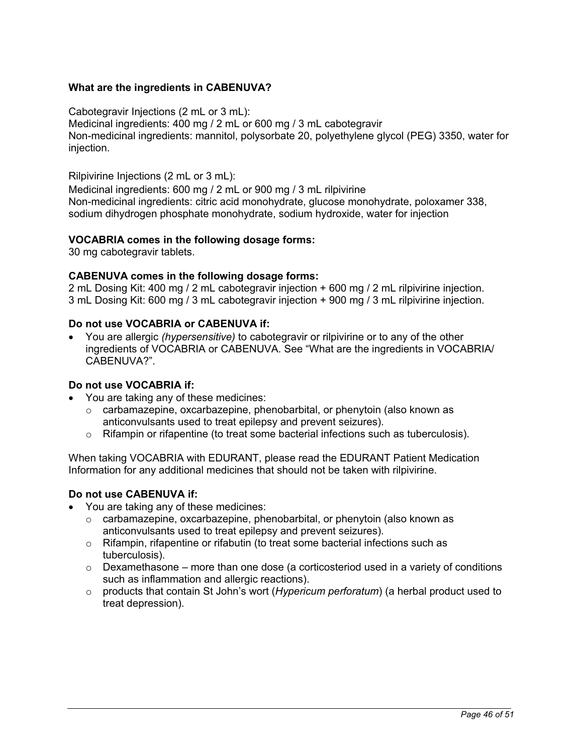## **What are the ingredients in CABENUVA?**

Cabotegravir Injections (2 mL or 3 mL):

Medicinal ingredients: 400 mg / 2 mL or 600 mg / 3 mL cabotegravir Non-medicinal ingredients: mannitol, polysorbate 20, polyethylene glycol (PEG) 3350, water for injection.

Rilpivirine Injections (2 mL or 3 mL):

Medicinal ingredients: 600 mg / 2 mL or 900 mg / 3 mL rilpivirine Non-medicinal ingredients: citric acid monohydrate, glucose monohydrate, poloxamer 338, sodium dihydrogen phosphate monohydrate, sodium hydroxide, water for injection

### **VOCABRIA comes in the following dosage forms:**

30 mg cabotegravir tablets.

## **CABENUVA comes in the following dosage forms:**

2 mL Dosing Kit: 400 mg / 2 mL cabotegravir injection + 600 mg / 2 mL rilpivirine injection. 3 mL Dosing Kit: 600 mg / 3 mL cabotegravir injection + 900 mg / 3 mL rilpivirine injection.

### **Do not use VOCABRIA or CABENUVA if:**

 You are allergic *(hypersensitive)* to cabotegravir or rilpivirine or to any of the other ingredients of VOCABRIA or CABENUVA. See "What are the ingredients in VOCABRIA/ CABENUVA?".

#### **Do not use VOCABRIA if:**

- You are taking any of these medicines:
	- $\circ$  carbamazepine, oxcarbazepine, phenobarbital, or phenytoin (also known as anticonvulsants used to treat epilepsy and prevent seizures).
	- $\circ$  Rifampin or rifapentine (to treat some bacterial infections such as tuberculosis).

When taking VOCABRIA with EDURANT, please read the EDURANT Patient Medication Information for any additional medicines that should not be taken with rilpivirine.

## **Do not use CABENUVA if:**

- You are taking any of these medicines:
	- $\circ$  carbamazepine, oxcarbazepine, phenobarbital, or phenytoin (also known as anticonvulsants used to treat epilepsy and prevent seizures).
	- $\circ$  Rifampin, rifapentine or rifabutin (to treat some bacterial infections such as tuberculosis).
	- $\circ$  Dexamethasone more than one dose (a corticosteriod used in a variety of conditions such as inflammation and allergic reactions).
	- o products that contain St John's wort (*Hypericum perforatum*) (a herbal product used to treat depression).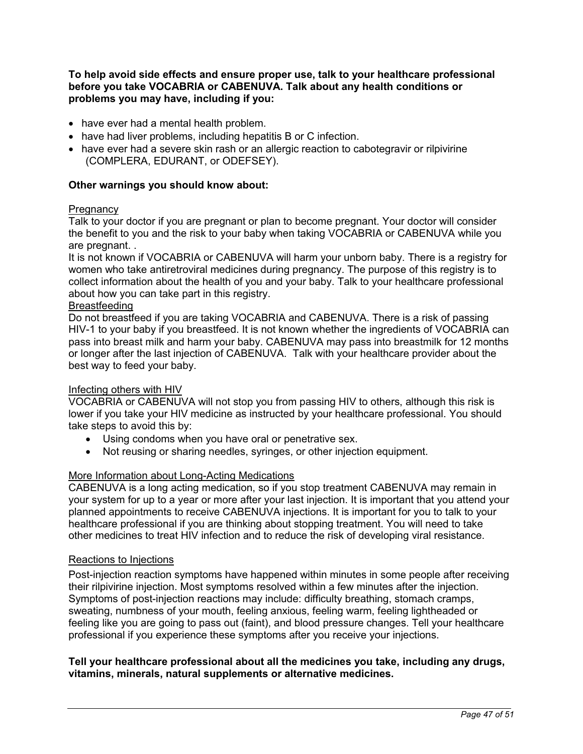**To help avoid side effects and ensure proper use, talk to your healthcare professional before you take VOCABRIA or CABENUVA. Talk about any health conditions or problems you may have, including if you:** 

- have ever had a mental health problem.
- have had liver problems, including hepatitis B or C infection.
- have ever had a severe skin rash or an allergic reaction to cabotegravir or rilpivirine (COMPLERA, EDURANT, or ODEFSEY).

### **Other warnings you should know about:**

#### **Pregnancy**

Talk to your doctor if you are pregnant or plan to become pregnant. Your doctor will consider the benefit to you and the risk to your baby when taking VOCABRIA or CABENUVA while you are pregnant. .

It is not known if VOCABRIA or CABENUVA will harm your unborn baby. There is a registry for women who take antiretroviral medicines during pregnancy. The purpose of this registry is to collect information about the health of you and your baby. Talk to your healthcare professional about how you can take part in this registry.

### Breastfeeding

Do not breastfeed if you are taking VOCABRIA and CABENUVA. There is a risk of passing HIV-1 to your baby if you breastfeed. It is not known whether the ingredients of VOCABRIA can pass into breast milk and harm your baby. CABENUVA may pass into breastmilk for 12 months or longer after the last injection of CABENUVA. Talk with your healthcare provider about the best way to feed your baby.

#### Infecting others with HIV

VOCABRIA or CABENUVA will not stop you from passing HIV to others, although this risk is lower if you take your HIV medicine as instructed by your healthcare professional. You should take steps to avoid this by:

- Using condoms when you have oral or penetrative sex.
- Not reusing or sharing needles, syringes, or other injection equipment.

## More Information about Long-Acting Medications

CABENUVA is a long acting medication, so if you stop treatment CABENUVA may remain in your system for up to a year or more after your last injection. It is important that you attend your planned appointments to receive CABENUVA injections. It is important for you to talk to your healthcare professional if you are thinking about stopping treatment. You will need to take other medicines to treat HIV infection and to reduce the risk of developing viral resistance.

#### Reactions to Injections

Post-injection reaction symptoms have happened within minutes in some people after receiving their rilpivirine injection. Most symptoms resolved within a few minutes after the injection. Symptoms of post-injection reactions may include: difficulty breathing, stomach cramps, sweating, numbness of your mouth, feeling anxious, feeling warm, feeling lightheaded or feeling like you are going to pass out (faint), and blood pressure changes. Tell your healthcare professional if you experience these symptoms after you receive your injections.

**Tell your healthcare professional about all the medicines you take, including any drugs, vitamins, minerals, natural supplements or alternative medicines.**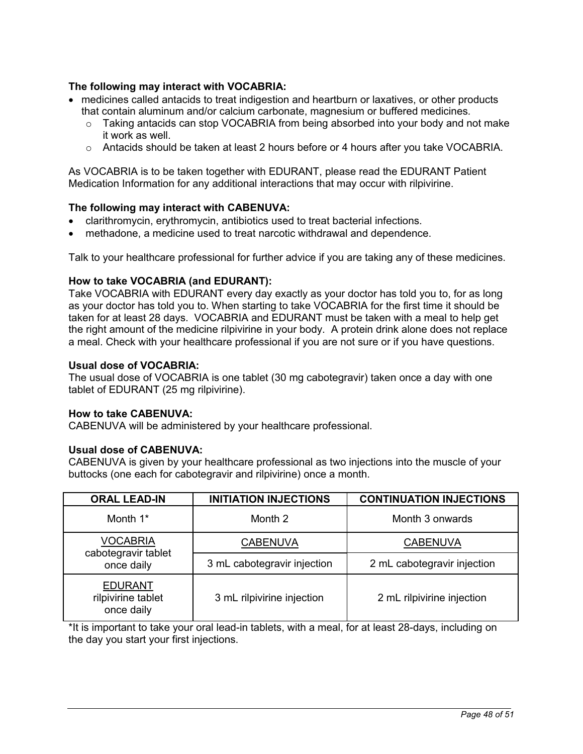## **The following may interact with VOCABRIA:**

- medicines called antacids to treat indigestion and heartburn or laxatives, or other products that contain aluminum and/or calcium carbonate, magnesium or buffered medicines*.*
	- $\circ$  Taking antacids can stop VOCABRIA from being absorbed into your body and not make it work as well.
	- $\circ$  Antacids should be taken at least 2 hours before or 4 hours after you take VOCABRIA.

As VOCABRIA is to be taken together with EDURANT, please read the EDURANT Patient Medication Information for any additional interactions that may occur with rilpivirine.

### **The following may interact with CABENUVA:**

- clarithromycin, erythromycin, antibiotics used to treat bacterial infections.
- methadone, a medicine used to treat narcotic withdrawal and dependence.

Talk to your healthcare professional for further advice if you are taking any of these medicines.

#### **How to take VOCABRIA (and EDURANT):**

Take VOCABRIA with EDURANT every day exactly as your doctor has told you to, for as long as your doctor has told you to. When starting to take VOCABRIA for the first time it should be taken for at least 28 days. VOCABRIA and EDURANT must be taken with a meal to help get the right amount of the medicine rilpivirine in your body. A protein drink alone does not replace a meal. Check with your healthcare professional if you are not sure or if you have questions.

#### **Usual dose of VOCABRIA:**

The usual dose of VOCABRIA is one tablet (30 mg cabotegravir) taken once a day with one tablet of EDURANT (25 mg rilpivirine).

#### **How to take CABENUVA:**

CABENUVA will be administered by your healthcare professional.

#### **Usual dose of CABENUVA:**

CABENUVA is given by your healthcare professional as two injections into the muscle of your buttocks (one each for cabotegravir and rilpivirine) once a month.

| <b>ORAL LEAD-IN</b>                                  | <b>INITIATION INJECTIONS</b> | <b>CONTINUATION INJECTIONS</b> |  |
|------------------------------------------------------|------------------------------|--------------------------------|--|
| Month 1*                                             | Month 2                      | Month 3 onwards                |  |
| <b>VOCABRIA</b><br>cabotegravir tablet<br>once daily | <b>CABENUVA</b>              | <b>CABENUVA</b>                |  |
|                                                      | 3 mL cabotegravir injection  | 2 mL cabotegravir injection    |  |
| <b>EDURANT</b><br>rilpivirine tablet<br>once daily   | 3 mL rilpivirine injection   | 2 mL rilpivirine injection     |  |

\*It is important to take your oral lead-in tablets, with a meal, for at least 28-days, including on the day you start your first injections.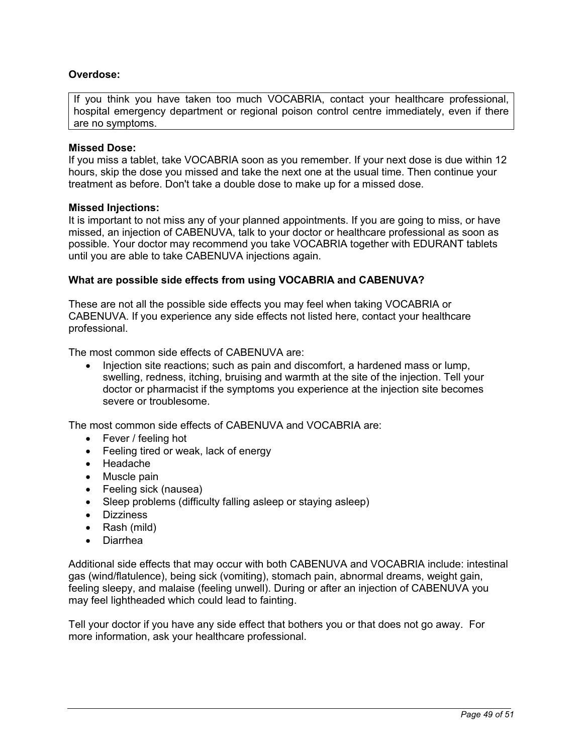## **Overdose:**

If you think you have taken too much VOCABRIA, contact your healthcare professional, hospital emergency department or regional poison control centre immediately, even if there are no symptoms.

### **Missed Dose:**

If you miss a tablet, take VOCABRIA soon as you remember. If your next dose is due within 12 hours, skip the dose you missed and take the next one at the usual time. Then continue your treatment as before. Don't take a double dose to make up for a missed dose.

### **Missed Injections:**

It is important to not miss any of your planned appointments. If you are going to miss, or have missed, an injection of CABENUVA, talk to your doctor or healthcare professional as soon as possible. Your doctor may recommend you take VOCABRIA together with EDURANT tablets until you are able to take CABENUVA injections again.

### **What are possible side effects from using VOCABRIA and CABENUVA?**

These are not all the possible side effects you may feel when taking VOCABRIA or CABENUVA. If you experience any side effects not listed here, contact your healthcare professional.

The most common side effects of CABENUVA are:

• Injection site reactions; such as pain and discomfort, a hardened mass or lump, swelling, redness, itching, bruising and warmth at the site of the injection. Tell your doctor or pharmacist if the symptoms you experience at the injection site becomes severe or troublesome.

The most common side effects of CABENUVA and VOCABRIA are:

- Fever / feeling hot
- Feeling tired or weak, lack of energy
- Headache
- Muscle pain
- Feeling sick (nausea)
- Sleep problems (difficulty falling asleep or staying asleep)
- **•** Dizziness
- Rash (mild)
- Diarrhea

Additional side effects that may occur with both CABENUVA and VOCABRIA include: intestinal gas (wind/flatulence), being sick (vomiting), stomach pain, abnormal dreams, weight gain, feeling sleepy, and malaise (feeling unwell). During or after an injection of CABENUVA you may feel lightheaded which could lead to fainting.

Tell your doctor if you have any side effect that bothers you or that does not go away. For more information, ask your healthcare professional.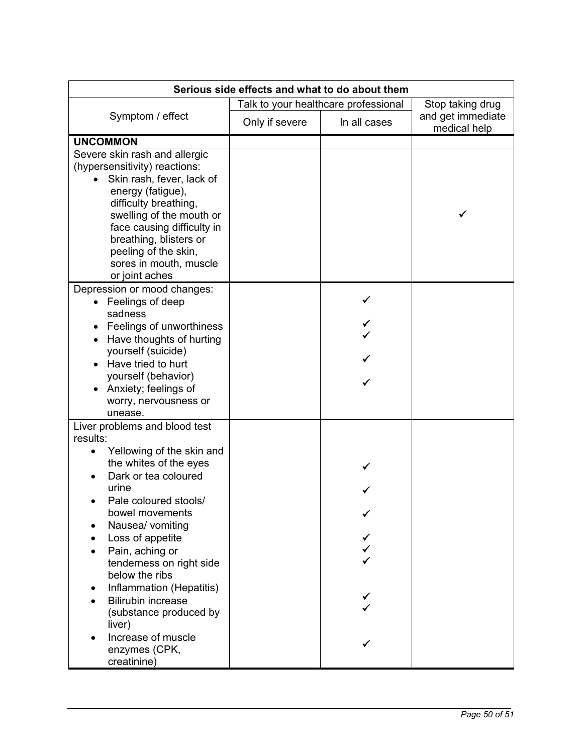| Serious side effects and what to do about them                                                                                                                                                                                                                                                                                                                                                                                                         |                                      |              |                                   |  |
|--------------------------------------------------------------------------------------------------------------------------------------------------------------------------------------------------------------------------------------------------------------------------------------------------------------------------------------------------------------------------------------------------------------------------------------------------------|--------------------------------------|--------------|-----------------------------------|--|
|                                                                                                                                                                                                                                                                                                                                                                                                                                                        | Talk to your healthcare professional |              | Stop taking drug                  |  |
| Symptom / effect                                                                                                                                                                                                                                                                                                                                                                                                                                       | Only if severe                       | In all cases | and get immediate<br>medical help |  |
| <b>UNCOMMON</b>                                                                                                                                                                                                                                                                                                                                                                                                                                        |                                      |              |                                   |  |
| Severe skin rash and allergic<br>(hypersensitivity) reactions:<br>Skin rash, fever, lack of<br>energy (fatigue),<br>difficulty breathing,<br>swelling of the mouth or<br>face causing difficulty in<br>breathing, blisters or<br>peeling of the skin,<br>sores in mouth, muscle<br>or joint aches                                                                                                                                                      |                                      |              |                                   |  |
| Depression or mood changes:<br>Feelings of deep<br>sadness<br>Feelings of unworthiness<br>Have thoughts of hurting<br>yourself (suicide)<br>Have tried to hurt<br>yourself (behavior)<br>Anxiety; feelings of<br>worry, nervousness or<br>unease.                                                                                                                                                                                                      |                                      |              |                                   |  |
| Liver problems and blood test<br>results:<br>Yellowing of the skin and<br>$\bullet$<br>the whites of the eyes<br>Dark or tea coloured<br>urine<br>Pale coloured stools/<br>bowel movements<br>Nausea/ vomiting<br>Loss of appetite<br>Pain, aching or<br>tenderness on right side<br>below the ribs<br>Inflammation (Hepatitis)<br><b>Bilirubin increase</b><br>(substance produced by<br>liver)<br>Increase of muscle<br>enzymes (CPK,<br>creatinine) |                                      |              |                                   |  |